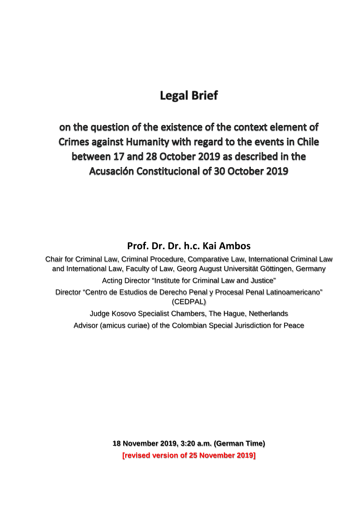# **Legal Brief**

on the question of the existence of the context element of Crimes against Humanity with regard to the events in Chile between 17 and 28 October 2019 as described in the Acusación Constitucional of 30 October 2019

# **Prof. Dr. Dr. h.c. Kai Ambos**

Chair for Criminal Law, Criminal Procedure, Comparative Law, International Criminal Law and International Law, Faculty of Law, Georg August Universität Göttingen, Germany Acting Director "Institute for Criminal Law and Justice" Director "Centro de Estudios de Derecho Penal y Procesal Penal Latinoamericano" (CEDPAL) Judge Kosovo Specialist Chambers, The Hague, Netherlands Advisor (amicus curiae) of the Colombian Special Jurisdiction for Peace

> **18 November 2019, 3:20 a.m. (German Time) [revised version of 25 November 2019]**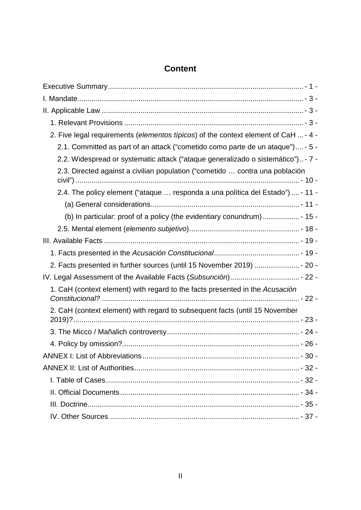# **Content**

| 2. Five legal requirements (elementos típicos) of the context element of CaH  - 4 - |
|-------------------------------------------------------------------------------------|
| 2.1. Committed as part of an attack ("cometido como parte de un ataque") - 5 -      |
| 2.2. Widespread or systematic attack ("ataque generalizado o sistemático") - 7 -    |
| 2.3. Directed against a civilian population ("cometido  contra una población        |
| 2.4. The policy element ("ataque  responda a una política del Estado")  - 11 -      |
|                                                                                     |
|                                                                                     |
|                                                                                     |
|                                                                                     |
|                                                                                     |
| 2. Facts presented in further sources (until 15 November 2019)  - 20 -              |
|                                                                                     |
| 1. CaH (context element) with regard to the facts presented in the Acusación        |
| 2. CaH (context element) with regard to subsequent facts (until 15 November         |
|                                                                                     |
|                                                                                     |
|                                                                                     |
|                                                                                     |
|                                                                                     |
|                                                                                     |
|                                                                                     |
|                                                                                     |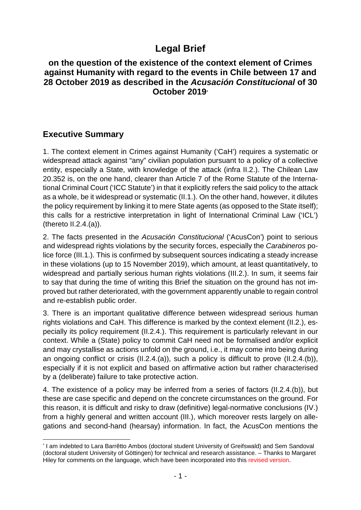# **Legal Brief**

### **on the question of the existence of the context element of Crimes against Humanity with regard to the events in Chile between 17 and 28 October 2019 as described in the** *Acusación Constitucional* **of 30 October 2019[\\*](#page-2-1)**

# <span id="page-2-0"></span>**Executive Summary**

1. The context element in Crimes against Humanity ('CaH') requires a systematic or widespread attack against "any" civilian population pursuant to a policy of a collective entity, especially a State, with knowledge of the attack (infra II.2.). The Chilean Law 20.352 is, on the one hand, clearer than Article 7 of the Rome Statute of the International Criminal Court ('ICC Statute') in that it explicitly refers the said policy to the attack as a whole, be it widespread or systematic (II.1.). On the other hand, however, it dilutes the policy requirement by linking it to mere State agents (as opposed to the State itself); this calls for a restrictive interpretation in light of International Criminal Law ('ICL') (thereto II.2.4.(a)).

2. The facts presented in the *Acusación Constitucional* ('AcusCon') point to serious and widespread rights violations by the security forces, especially the *Carabineros* police force (III.1.). This is confirmed by subsequent sources indicating a steady increase in these violations (up to 15 November 2019), which amount, at least quantitatively, to widespread and partially serious human rights violations (III.2.). In sum, it seems fair to say that during the time of writing this Brief the situation on the ground has not improved but rather deteriorated, with the government apparently unable to regain control and re-establish public order.

3. There is an important qualitative difference between widespread serious human rights violations and CaH. This difference is marked by the context element (II.2.), especially its policy requirement (II.2.4.). This requirement is particularly relevant in our context. While a (State) policy to commit CaH need not be formalised and/or explicit and may crystallise as actions unfold on the ground, i.e., it may come into being during an ongoing conflict or crisis (II.2.4.(a)), such a policy is difficult to prove (II.2.4.(b)), especially if it is not explicit and based on affirmative action but rather characterised by a (deliberate) failure to take protective action.

4. The existence of a policy may be inferred from a series of factors (II.2.4.(b)), but these are case specific and depend on the concrete circumstances on the ground. For this reason, it is difficult and risky to draw (definitive) legal-normative conclusions (IV.) from a highly general and written account (III.), which moreover rests largely on allegations and second-hand (hearsay) information. In fact, the AcusCon mentions the

<span id="page-2-1"></span> <sup>\*</sup> I am indebted to Lara Barrêtto Ambos (doctoral student University of Greifswald) and Sem Sandoval (doctoral student University of Göttingen) for technical and research assistance. – Thanks to Margaret Hiley for comments on the language, which have been incorporated into this revised version.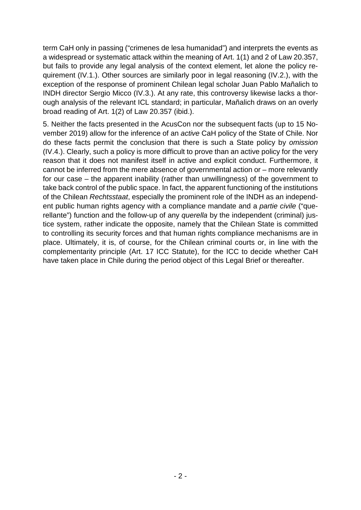term CaH only in passing ("crimenes de lesa humanidad") and interprets the events as a widespread or systematic attack within the meaning of Art. 1(1) and 2 of Law 20.357, but fails to provide any legal analysis of the context element, let alone the policy requirement (IV.1.). Other sources are similarly poor in legal reasoning (IV.2.), with the exception of the response of prominent Chilean legal scholar Juan Pablo Mañalich to INDH director Sergio Micco (IV.3.). At any rate, this controversy likewise lacks a thorough analysis of the relevant ICL standard; in particular, Mañalich draws on an overly broad reading of Art. 1(2) of Law 20.357 (ibid.).

5. Neither the facts presented in the AcusCon nor the subsequent facts (up to 15 November 2019) allow for the inference of an *active* CaH policy of the State of Chile. Nor do these facts permit the conclusion that there is such a State policy by *omission* (IV.4.). Clearly, such a policy is more difficult to prove than an active policy for the very reason that it does not manifest itself in active and explicit conduct. Furthermore, it cannot be inferred from the mere absence of governmental action or – more relevantly for our case – the apparent inability (rather than unwillingness) of the government to take back control of the public space. In fact, the apparent functioning of the institutions of the Chilean *Rechtsstaat*, especially the prominent role of the INDH as an independent public human rights agency with a compliance mandate and a *partie civile* ("querellante") function and the follow-up of any *querella* by the independent (criminal) justice system, rather indicate the opposite, namely that the Chilean State is committed to controlling its security forces and that human rights compliance mechanisms are in place. Ultimately, it is, of course, for the Chilean criminal courts or, in line with the complementarity principle (Art. 17 ICC Statute), for the ICC to decide whether CaH have taken place in Chile during the period object of this Legal Brief or thereafter.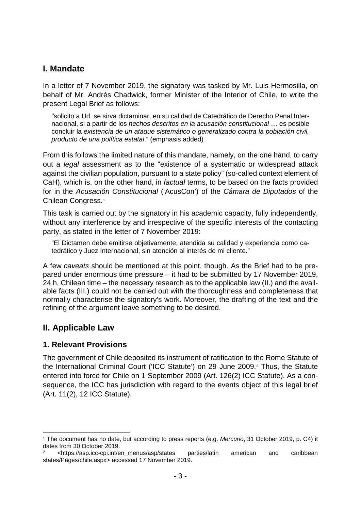# <span id="page-4-0"></span>**I. Mandate**

In a letter of 7 November 2019, the signatory was tasked by Mr. Luis Hermosilla, on behalf of Mr. Andrés Chadwick, former Minister of the Interior of Chile, to write the present Legal Brief as follows:

"solicito a Ud. se sirva dictaminar, en su calidad de Catedrático de Derecho Penal Internacional, si a partir de los *hechos descritos en la acusación constitucional* … es posible concluir la *existencia de un ataque sistemático o generalizado contra la población civil, producto de una política estatal*." (emphasis added)

From this follows the limited nature of this mandate, namely, on the one hand, to carry out a *legal* assessment as to the "existence of a systematic or widespread attack against the civilian population, pursuant to a state policy" (so-called context element of CaH), which is, on the other hand, in *factual* terms, to be based on the facts provided for in the *Acusación Constitucional* ('AcusCon') of the *Cámara de Diputados* of the Chilean Congress.[1](#page-4-3)

This task is carried out by the signatory in his academic capacity, fully independently, without any interference by and irrespective of the specific interests of the contacting party, as stated in the letter of 7 November 2019:

"El Dictamen debe emitirse objetivamente, atendida su calidad y experiencia como catedrático y Juez Internacional, sin atención al interés de mi cliente."

A few *caveats* should be mentioned at this point, though. As the Brief had to be prepared under enormous time pressure – it had to be submitted by 17 November 2019, 24 h, Chilean time – the necessary research as to the applicable law (II.) and the available facts (III.) could not be carried out with the thoroughness and completeness that normally characterise the signatory's work. Moreover, the drafting of the text and the refining of the argument leave something to be desired.

# <span id="page-4-1"></span>**II. Applicable Law**

### <span id="page-4-2"></span>**1. Relevant Provisions**

The government of Chile deposited its instrument of ratification to the Rome Statute of the International Criminal Court ('ICC Statute') on 29 June 2009.[2](#page-4-4) Thus, the Statute entered into force for Chile on 1 September 2009 (Art. 126(2) ICC Statute). As a consequence, the ICC has jurisdiction with regard to the events object of this legal brief (Art. 11(2), 12 ICC Statute).

<span id="page-4-3"></span> <sup>1</sup> The document has no date, but according to press reports (e.g. *Mercurio*, 31 October 2019, p. C4) it dates from 30 October 2019.

<span id="page-4-4"></span><sup>2</sup> <https://asp.icc-cpi.int/en\_menus/asp/states parties/latin american and caribbean states/Pages/chile.aspx> accessed 17 November 2019.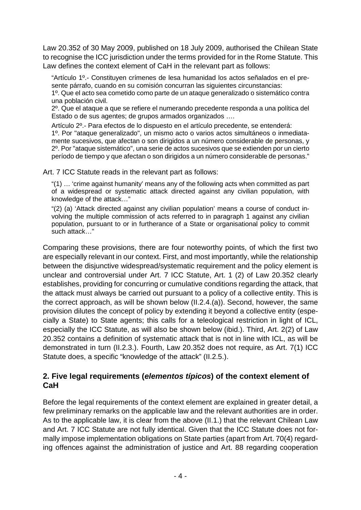Law 20.352 of 30 May 2009, published on 18 July 2009, authorised the Chilean State to recognise the ICC jurisdiction under the terms provided for in the Rome Statute. This Law defines the context element of CaH in the relevant part as follows:

"Artículo 1º.- Constituyen crímenes de lesa humanidad los actos señalados en el presente párrafo, cuando en su comisión concurran las siguientes circunstancias:

1º. Que el acto sea cometido como parte de un ataque generalizado o sistemático contra una población civil.

2º. Que el ataque a que se refiere el numerando precedente responda a una política del Estado o de sus agentes; de grupos armados organizados ….

Artículo 2º.- Para efectos de lo dispuesto en el artículo precedente, se entenderá: 1º. Por "ataque generalizado", un mismo acto o varios actos simultáneos o inmediatamente sucesivos, que afectan o son dirigidos a un número considerable de personas, y 2º. Por "ataque sistemático", una serie de actos sucesivos que se extienden por un cierto período de tiempo y que afectan o son dirigidos a un número considerable de personas."

Art. 7 ICC Statute reads in the relevant part as follows:

"(1) … 'crime against humanity' means any of the following acts when committed as part of a widespread or systematic attack directed against any civilian population, with knowledge of the attack…"

"(2) (a) 'Attack directed against any civilian population' means a course of conduct involving the multiple commission of acts referred to in paragraph 1 against any civilian population, pursuant to or in furtherance of a State or organisational policy to commit such attack…"

Comparing these provisions, there are four noteworthy points, of which the first two are especially relevant in our context. First, and most importantly, while the relationship between the disjunctive widespread/systematic requirement and the policy element is unclear and controversial under Art. 7 ICC Statute, Art. 1 (2) of Law 20.352 clearly establishes, providing for concurring or cumulative conditions regarding the attack, that the attack must always be carried out pursuant to a policy of a collective entity. This is the correct approach, as will be shown below (II.2.4.(a)). Second, however, the same provision dilutes the concept of policy by extending it beyond a collective entity (especially a State) to State agents; this calls for a teleological restriction in light of ICL, especially the ICC Statute, as will also be shown below (ibid.). Third, Art. 2(2) of Law 20.352 contains a definition of systematic attack that is not in line with ICL, as will be demonstrated in turn (II.2.3.). Fourth, Law 20.352 does not require, as Art. 7(1) ICC Statute does, a specific "knowledge of the attack" (II.2.5.).

### <span id="page-5-0"></span>**2. Five legal requirements (***elementos típicos***) of the context element of CaH**

Before the legal requirements of the context element are explained in greater detail, a few preliminary remarks on the applicable law and the relevant authorities are in order. As to the applicable law, it is clear from the above (II.1.) that the relevant Chilean Law and Art. 7 ICC Statute are not fully identical. Given that the ICC Statute does not formally impose implementation obligations on State parties (apart from Art. 70(4) regarding offences against the administration of justice and Art. 88 regarding cooperation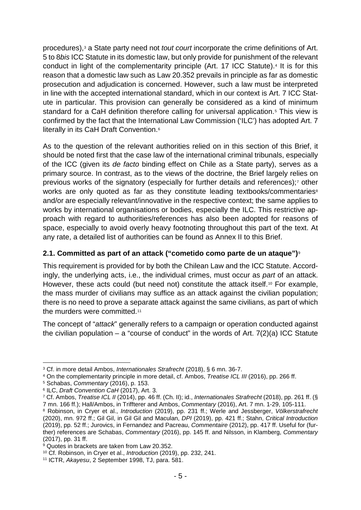<span id="page-6-10"></span>procedures),[3](#page-6-1) a State party need not *tout court* incorporate the crime definitions of Art. 5 to 8*bis* ICC Statute in its domestic law, but only provide for punishment of the relevant conduct in light of the complementarity principle (Art. 17 ICC Statute).[4](#page-6-2) It is for this reason that a domestic law such as Law 20.352 prevails in principle as far as domestic prosecution and adjudication is concerned. However, such a law must be interpreted in line with the accepted international standard, which in our context is Art. 7 ICC Statute in particular. This provision can generally be considered as a kind of minimum standard for a CaH definition therefore calling for universal application.<sup>[5](#page-6-3)</sup> This view is confirmed by the fact that the International Law Commission ('ILC') has adopted Art. 7 literally in its CaH Draft Convention.[6](#page-6-4)

As to the question of the relevant authorities relied on in this section of this Brief, it should be noted first that the case law of the international criminal tribunals, especially of the ICC (given its *de facto* binding effect on Chile as a State party), serves as a primary source. In contrast, as to the views of the doctrine, the Brief largely relies on previous works of the signatory (especially for further details and references);[7](#page-6-5) other works are only quoted as far as they constitute leading textbooks/commentaries<sup>[8](#page-6-6)</sup> and/or are especially relevant/innovative in the respective context; the same applies to works by international organisations or bodies, especially the ILC. This restrictive approach with regard to authorities/references has also been adopted for reasons of space, especially to avoid overly heavy footnoting throughout this part of the text. At any rate, a detailed list of authorities can be found as Annex II to this Brief.

#### <span id="page-6-0"></span>**2.1. Committed as part of an attack ("cometido como parte de un ataque")**[9](#page-6-7)

This requirement is provided for by both the Chilean Law and the ICC Statute. Accordingly, the underlying acts, i.e., the individual crimes, must occur as *part* of an attack. However, these acts could (but need not) constitute the attack itself.<sup>[10](#page-6-8)</sup> For example, the mass murder of civilians may suffice as an attack against the civilian population; there is no need to prove a separate attack against the same civilians, as part of which the murders were committed.<sup>[11](#page-6-9)</sup>

The concept of "*attack*" generally refers to a campaign or operation conducted against the civilian population – a "course of conduct" in the words of Art.  $7(2)(a)$  ICC Statute

<span id="page-6-1"></span> <sup>3</sup> Cf. in more detail Ambos, *Internationales Strafrecht* (2018), § 6 mn. 36-7.

<span id="page-6-2"></span><sup>4</sup> On the complementarity principle in more detail, cf. Ambos, *Treatise ICL III* (2016), pp. 266 ff.

<span id="page-6-3"></span><sup>5</sup> Schabas, *Commentary* (2016), p. 153.

<span id="page-6-4"></span><sup>6</sup> ILC, *Draft Convention CaH* (2017), Art. 3.

<span id="page-6-5"></span><sup>7</sup> Cf. Ambos, *Treatise ICL II* (2014), pp. 46 ff. (Ch. II); id., *Internationales Strafrecht* (2018), pp. 261 ff. (§ 7 mn. 166 ff.); Hall/Ambos, in Triffterer and Ambos, *Commentary* (2016), Art. 7 mn. 1-29, 105-111.

<span id="page-6-6"></span><sup>8</sup> Robinson, in Cryer et al., *Introduction* (2019), pp. 231 ff.; Werle and Jessberger, *Völkerstrafrecht* (2020), mn. 972 ff.; Gil Gil, in Gil Gil and Maculan, *DPI* (2019), pp. 421 ff.; Stahn, *Critical Introduction* (2019), pp. 52 ff.; Jurovics, in Fernandez and Pacreau, *Commentaire* (2012), pp. 417 ff. Useful for (further) references are Schabas, *Commentary* (2016), pp. 145 ff. and Nilsson, in Klamberg, *Commentary* (2017), pp. 31 ff.

<span id="page-6-7"></span><sup>&</sup>lt;sup>9</sup> Quotes in brackets are taken from Law 20.352.

<span id="page-6-8"></span><sup>10</sup> Cf. Robinson, in Cryer et al., *Introduction* (2019), pp. 232, 241.

<span id="page-6-9"></span><sup>11</sup> ICTR, *Akayesu*, 2 September 1998, TJ, para. 581.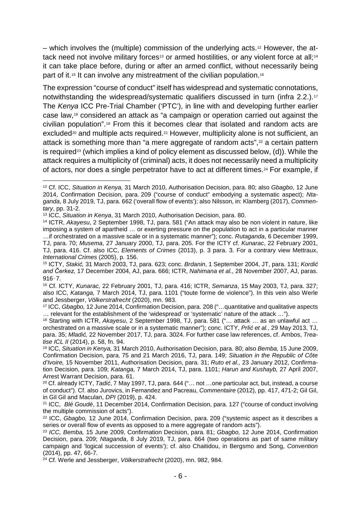– which involves the (multiple) commission of the underlying acts.[12](#page-7-0) However, the at-tack need not involve military forces<sup>[13](#page-7-1)</sup> or armed hostilities, or any violent force at all;<sup>[14](#page-7-2)</sup> it can take place before, during or after an armed conflict, without necessarily being part of it.<sup>[15](#page-7-3)</sup> It can involve any mistreatment of the civilian population.<sup>[16](#page-7-4)</sup>

The expression "course of conduct" itself has widespread and systematic connotations, notwithstanding the widespread/systematic qualifiers discussed in turn (infra 2.2.).<sup>[17](#page-7-5)</sup> The *Kenya* ICC Pre-Trial Chamber ('PTC'), in line with and developing further earlier case law,[18](#page-7-6) considered an attack as "a campaign or operation carried out against the civilian population".[19](#page-7-7) From this it becomes clear that isolated and random acts are excluded<sup>[20](#page-7-8)</sup> and multiple acts required.<sup>[21](#page-7-9)</sup> However, multiplicity alone is not sufficient, an attack is something more than "a mere aggregate of random acts",<sup>[22](#page-7-10)</sup> a certain pattern is required<sup>[23](#page-7-11)</sup> (which implies a kind of policy element as discussed below,  $(d)$ ). While the attack requires a multiplicity of (criminal) acts, it does not necessarily need a multiplicity of actors, nor does a single perpetrator have to act at different times.[24](#page-7-12) For example, if

<span id="page-7-2"></span><sup>14</sup> ICTR, *Akayesu*, 2 September 1998, TJ, para. 581 ("An attack may also be non violent in nature, like imposing a system of apartheid … or exerting pressure on the population to act in a particular manner …if orchestrated on a massive scale or in a systematic manner"); conc. *Rutaganda*, 6 December 1999,

<span id="page-7-5"></span>… relevant for the establishment of the 'widespread' or 'systematic' nature of the attack …").

<span id="page-7-0"></span> <sup>12</sup> Cf. ICC, *Situation in Kenya,* 31 March 2010, Authorisation Decision, para. 80; also *Gbagbo*, 12 June 2014, Confirmation Decision, para. 209 ("course of conduct" embodying a systematic aspect); *Ntaganda*, 8 July 2019, TJ, para. 662 ('overall flow of events'); also Nilsson, in: Klamberg (2017), *Commentary*, pp. 31-2.

<span id="page-7-1"></span><sup>13</sup> ICC, *Situation in Kenya*, 31 March 2010, Authorisation Decision, para. 80.

TJ, para. 70; *Musema*, 27 January 2000, TJ, para. 205. For the ICTY cf. *Kunarac*, 22 February 2001, TJ, para. 416. Cf. also ICC, *Elements of Crimes* (2013), p. 3 para. 3. For a contrary view Mettraux, *International Crimes* (2005), p. 156.

<span id="page-7-3"></span><sup>15</sup> ICTY, *Stakić,* 31 March 2003, TJ, para. 623; conc. *Brdanin*, 1 September 2004, JT, para. 131; *Kordić and Čerkez,* 17 December 2004, AJ, para. 666; ICTR, *Nahimana et al.,* 28 November 2007, AJ, paras. 916–7.

<span id="page-7-4"></span><sup>16</sup> Cf. ICTY, *Kunarac,* 22 February 2001, TJ, para. 416; ICTR, *Semanza*, 15 May 2003, TJ, para. 327; also ICC, *Katanga,* 7 March 2014, TJ, para. 1101 ("toute forme de violence"). In this vein also Werle and Jessberger, *Völkerstrafrecht* (2020), mn. 983.<br><sup>17</sup> ICC, *Gbagbo*, 12 June 2014, Confirmation Decision, para. 208 ("...quantitative and qualitative aspects

<span id="page-7-6"></span><sup>18</sup> Starting with ICTR, *Akayesu*, 2 September 1998, TJ, para. 581 ("… attack … as an unlawful act … orchestrated on a massive scale or in a systematic manner"); conc. ICTY, *Prlić et al.*, 29 May 2013, TJ, para. 35; *Mladić,* 22 November 2017, TJ, para. 3024. For further case law references, cf. Ambos, *Treatise ICL II* (2014), p. 58, fn. 94.

<span id="page-7-7"></span><sup>19</sup> ICC, *Situation in Kenya,* 31 March 2010, Authorisation Decision, para. 80; also *Bemba,* 15 June 2009, Confirmation Decision, para. 75 and 21 March 2016, TJ, para. 149; *Situation in the Republic of Côte d'Ivoire,* 15 November 2011, Authorisation Decision, para. 31; *Ruto et al.,* 23 January 2012, Confirmation Decision, para. 109; *Katanga,* 7 March 2014, TJ, para. 1101; *Harun and Kushayb,* 27 April 2007, Arrest Warrant Decision, para. 61.

<span id="page-7-8"></span><sup>20</sup> Cf. already ICTY, *Tadić*, 7 May 1997, TJ, para. 644 ("… not …one particular act, but, instead, a course of conduct"). Cf. also Jurovics, in Fernandez and Pacreau, *Commentaire* (2012), pp. 417, 471-2; Gil Gil, in Gil Gil and Maculan, *DPI* (2019), p. 424.

<span id="page-7-9"></span><sup>21</sup> ICC, *Blé Goudé*, 11 December 2014, Confirmation Decision, para. 127 ("course of conduct involving the multiple commission of acts").

<span id="page-7-10"></span><sup>22</sup> ICC, *Gbagbo,* 12 June 2014, Confirmation Decision, para. 209 ("systemic aspect as it describes a series or overall flow of events as opposed to a mere aggregate of random acts").

<span id="page-7-11"></span><sup>23</sup> *ICC, Bemba,* 15 June 2009, Confirmation Decision, para. 81; *Gbagbo,* 12 June 2014, Confirmation Decision, para. 209; *Ntaganda*, 8 July 2019, TJ, para. 664 (two operations as part of same military campaign and 'logical succession of events'); cf. also Chaitidou, in Bergsmo and Song, *Convention* (2014), pp. 47, 66-7.

<span id="page-7-12"></span><sup>24</sup> Cf. Werle and Jessberger, *Völkerstrafrecht* (2020), mn. 982, 984.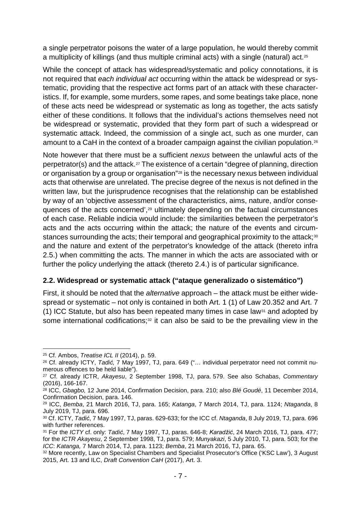a single perpetrator poisons the water of a large population, he would thereby commit a multiplicity of killings (and thus multiple criminal acts) with a single (natural) act.[25](#page-8-1)

While the concept of attack has widespread/systematic and policy connotations, it is not required that *each individual act* occurring within the attack be widespread or systematic, providing that the respective act forms part of an attack with these characteristics. If, for example, some murders, some rapes, and some beatings take place, none of these acts need be widespread or systematic as long as together, the acts satisfy either of these conditions. It follows that the individual's actions themselves need not be widespread or systematic, provided that they form part of such a widespread or systematic attack. Indeed, the commission of a single act, such as one murder, can amount to a CaH in the context of a broader campaign against the civilian population.<sup>[26](#page-8-2)</sup>

Note however that there must be a sufficient *nexus* between the unlawful acts of the perpetrator(s) and the attack.[27](#page-8-3) The existence of a certain "degree of planning, direction or organisation by a group or organisation"[28](#page-8-4) is the necessary nexus between individual acts that otherwise are unrelated. The precise degree of the nexus is not defined in the written law, but the jurisprudence recognises that the relationship can be established by way of an 'objective assessment of the characteristics, aims, nature, and/or consequences of the acts concerned',[29](#page-8-5) ultimately depending on the factual circumstances of each case. Reliable indicia would include: the similarities between the perpetrator's acts and the acts occurring within the attack; the nature of the events and circum-stances surrounding the acts; their temporal and geographical proximity to the attack;<sup>[30](#page-8-6)</sup> and the nature and extent of the perpetrator's knowledge of the attack (thereto infra 2.5.) when committing the acts. The manner in which the acts are associated with or further the policy underlying the attack (thereto 2.4.) is of particular significance.

#### <span id="page-8-0"></span>**2.2. Widespread or systematic attack ("ataque generalizado o sistemático")**

<span id="page-8-9"></span>First, it should be noted that the *alternative* approach – the attack must be either widespread or systematic – not only is contained in both Art. 1 (1) of Law 20.352 and Art. 7 (1) ICC Statute, but also has been repeated many times in case law<sup>[31](#page-8-7)</sup> and adopted by some international codifications;<sup>[32](#page-8-8)</sup> it can also be said to be the prevailing view in the

<span id="page-8-1"></span> <sup>25</sup> Cf. Ambos, *Treatise ICL II* (2014), p. 59.

<span id="page-8-2"></span><sup>&</sup>lt;sup>26</sup> Cf. already ICTY, *Tadić,* 7 May 1997, TJ, para. 649 ("... individual perpetrator need not commit nu-<br>merous offences to be held liable").

<span id="page-8-3"></span><sup>&</sup>lt;sup>27</sup> Cf. already ICTR, Akayesu, 2 September 1998, TJ, para. 579. See also Schabas, *Commentary* (2016), 166-167.

<span id="page-8-4"></span><sup>28</sup> ICC, *Gbagbo,* 12 June 2014, Confirmation Decision, para. 210; also *Blé Goudé*, 11 December 2014, Confirmation Decision, para. 146. 29 ICC, *Bemba*, 21 March 2016, TJ, para. 165; *Katanga*, 7 March 2014, TJ, para. 1124; *Ntaganda*, 8

<span id="page-8-5"></span>July 2019, TJ, para. 696.

<span id="page-8-6"></span><sup>30</sup> Cf. ICTY, *Tadić*, 7 May 1997, TJ, paras. 629-633; for the ICC cf. *Ntaganda*, 8 July 2019, TJ, para. 696 with further references.

<span id="page-8-7"></span><sup>31</sup> For the *ICTY* cf. only: *Tadić*, 7 May 1997, TJ, paras. 646-8; *Karadžić*, 24 March 2016, TJ, para. 477; for the *ICTR Akayesu*, 2 September 1998, TJ, para. 579; *Munyakazi*, 5 July 2010, TJ, para. 503; for the *ICC*: *Katanga,* 7 March 2014, TJ, para. 1123; *Bemba*, 21 March 2016, TJ, para. 65.

<span id="page-8-8"></span><sup>32</sup> More recently, Law on Specialist Chambers and Specialist Prosecutor's Office ('KSC Law'), 3 August 2015, Art. 13 and ILC, *Draft Convention CaH* (2017), Art. 3.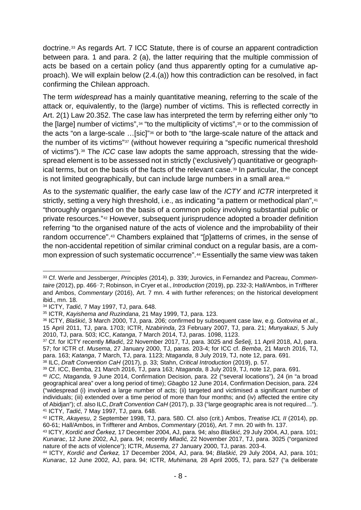<span id="page-9-12"></span>doctrine.[33](#page-9-0) As regards Art. 7 ICC Statute, there is of course an apparent contradiction between para. 1 and para. 2 (a), the latter requiring that the multiple commission of acts be based on a certain policy (and thus apparently opting for a cumulative approach). We will explain below (2.4.(a)) how this contradiction can be resolved, in fact confirming the Chilean approach.

The term *widespread* has a mainly quantitative meaning, referring to the scale of the attack or, equivalently, to the (large) number of victims. This is reflected correctly in Art. 2(1) Law 20.352. The case law has interpreted the term by referring either only "to the [large] number of victims",<sup>[34](#page-9-1)</sup> "to the multiplicity of victims",<sup>[35](#page-9-2)</sup> or to the commission of the acts "on a large-scale …[sic]"[36](#page-9-3) or both to "the large-scale nature of the attack and the number of its victims"[37](#page-9-4) (without however requiring a "specific numerical threshold of victims").[38](#page-9-5) The *ICC* case law adopts the same approach, stressing that the widespread element is to be assessed not in strictly ('exclusively') quantitative or geograph-ical terms, but on the basis of the facts of the relevant case.<sup>[39](#page-9-6)</sup> In particular, the concept is not limited geographically, but can include large numbers in a small area.<sup>[40](#page-9-7)</sup>

As to the *systematic* qualifier, the early case law of the *ICTY* and *ICTR* interpreted it strictly, setting a very high threshold, i.e., as indicating "a pattern or methodical plan",<sup>[41](#page-9-8)</sup> "thoroughly organised on the basis of a common policy involving substantial public or private resources."[42](#page-9-9) However, subsequent jurisprudence adopted a broader definition referring "to the organised nature of the acts of violence and the improbability of their random occurrence".[43](#page-9-10) Chambers explained that "[p]atterns of crimes, in the sense of the non-accidental repetition of similar criminal conduct on a regular basis, are a common expression of such systematic occurrence".[44](#page-9-11) Essentially the same view was taken

<span id="page-9-0"></span> <sup>33</sup> Cf. Werle and Jessberger, *Principles* (2014), p. 339; Jurovics, in Fernandez and Pacreau, *Commentaire* (2012), pp. 466–7; Robinson, in Cryer et al., *Introduction* (2019), pp. 232-3; Hall/Ambos, in Triffterer and Ambos, *Commentary* (2016), Art. 7 mn. 4 with further references; on the historical development ibid., mn. 18.

<span id="page-9-1"></span><sup>34</sup> ICTY, *Tadić*, 7 May 1997, TJ, para. 648.

<span id="page-9-2"></span><sup>35</sup> ICTR, *Kayishema and Ruzindana*, 21 May 1999, TJ, para. 123.

<span id="page-9-3"></span><sup>36</sup> ICTY, *Blaškić*, 3 March 2000, TJ, para. 206; confirmed by subsequent case law, e.g. *Gotovina et al.*, 15 April 2011, TJ, para. 1703; ICTR, *Nzabirinda*, 23 February 2007, TJ, para. 21; *Munyakazi*, 5 July 2010, TJ, para. 503; ICC, *Katanga*, 7 March 2014, TJ, paras. 1098, 1123. 37 Cf. for ICTY recently *Mladić*, 22 November 2017, TJ, para. 3025 and *Šešelj*, 11 April 2018, AJ, para.

<span id="page-9-4"></span><sup>57;</sup> for ICTR cf. *Musema*, 27 January 2000, TJ, paras. 203-4; for ICC cf. *Bemba*, 21 March 2016, TJ, para. 163; *Katanga*, 7 March, TJ, para. 1123; *Ntaganda*, 8 July 2019, TJ, note [12,](#page-6-10) para. 691.

<span id="page-9-5"></span><sup>38</sup> ILC, *Draft Convention CaH* (2017), p. 33; Stahn, *Critical Introduction* (2019), p. 57.

<span id="page-9-6"></span>

<span id="page-9-7"></span><sup>&</sup>lt;sup>40</sup> ICC, Ntaganda, 9 June 2014, Confirmation Decision, para. 22 ("several locations"), 24 (in "a broad geographical area" over a long period of time); *Gbagbo* 12 June 2014, Confirmation Decision, para. 224 ("widespread (i) involved a large number of acts; (ii) targeted and victimised a significant number of individuals; (iii) extended over a time period of more than four months; and (iv) affected the entire city of Abidjan"); cf. also ILC, *Draft Convention CaH* (2017), p. 33 ("large geographic area is not required…").

<span id="page-9-9"></span><span id="page-9-8"></span><sup>&</sup>lt;sup>42</sup> ICTR, *Akayesu*, 2 September 1998, TJ, para. 580. Cf. also (crit.) Ambos, *Treatise ICL II* (2014), pp. 60-61; Hall/Ambos, in Triffterer and Ambos, *Commentary* (2016), Art. 7 mn. 20 with fn. 137.

<span id="page-9-10"></span><sup>43</sup> ICTY, *Kordić and Čerkez,* 17 December 2004, AJ, para. 94; also *Blaškić*, 29 July 2004, AJ, para. 101; *Kunarac*, 12 June 2002, AJ, para. 94; recently *Mladić,* 22 November 2017, TJ, para. 3025 ("organized nature of the acts of violence"); ICTR, *Musema,* 27 January 2000, TJ, paras. 203-4.

<span id="page-9-11"></span><sup>44</sup> ICTY, *Kordić and Čerkez,* 17 December 2004, AJ, para. 94; *Blaškić*, 29 July 2004, AJ, para. 101; *Kunarac*, 12 June 2002, AJ, para. 94; ICTR, *Muhimana,* 28 April 2005, TJ, para. 527 ("a deliberate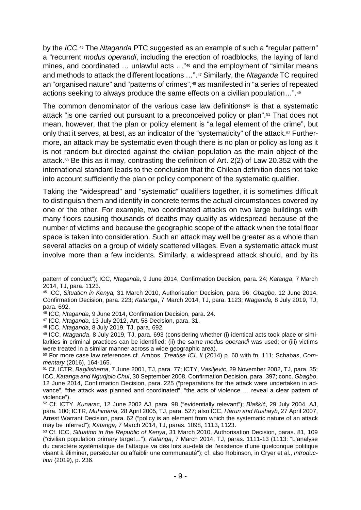by the *ICC.*[45](#page-10-0) The *Ntaganda* PTC suggested as an example of such a "regular pattern" a "recurrent *modus operandi*, including the erection of roadblocks, the laying of land mines, and coordinated … unlawful acts …"[46](#page-10-1) and the employment of "similar means and methods to attack the different locations …".[47](#page-10-2) Similarly, the *Ntaganda* TC required an "organised nature" and "patterns of crimes",[48](#page-10-3) as manifested in "a series of repeated actions seeking to always produce the same effects on a civilian population…".[49](#page-10-4)

<span id="page-10-9"></span>The common denominator of the various case law definitions $50$  is that a systematic attack "is one carried out pursuant to a preconceived policy or plan".[51](#page-10-6) That does not mean, however, that the plan or policy element is "a legal element of the crime", but only that it serves, at best, as an indicator of the "systematicity" of the attack.[52](#page-10-7) Furthermore, an attack may be systematic even though there is no plan or policy as long as it is not random but directed against the civilian population as the main object of the attack.[53](#page-10-8) Be this as it may, contrasting the definition of Art. 2(2) of Law 20.352 with the international standard leads to the conclusion that the Chilean definition does not take into account sufficiently the plan or policy component of the systematic qualifier.

Taking the "widespread" and "systematic" qualifiers together, it is sometimes difficult to distinguish them and identify in concrete terms the actual circumstances covered by one or the other. For example, two coordinated attacks on two large buildings with many floors causing thousands of deaths may qualify as widespread because of the number of victims and because the geographic scope of the attack when the total floor space is taken into consideration. Such an attack may well be greater as a whole than several attacks on a group of widely scattered villages. Even a systematic attack must involve more than a few incidents. Similarly, a widespread attack should, and by its

pattern of conduct"); ICC, *Ntaganda*, 9 June 2014, Confirmation Decision, para. 24; *Katanga*, 7 March

<span id="page-10-0"></span><sup>&</sup>lt;sup>45</sup> ICC, *Situation in Kenya,* 31 March 2010, Authorisation Decision, para. 96; *Gbagbo,* 12 June 2014, Confirmation Decision, para. 223; *Katanga*, 7 March 2014, TJ, para. 1123; *Ntaganda,* 8 July 2019, TJ, para. 692.

<span id="page-10-1"></span><sup>46</sup> ICC, *Ntaganda*, 9 June 2014, Confirmation Decision, para. 24.

<span id="page-10-2"></span><sup>47</sup> ICC, *Ntaganda*, 13 July 2012, Art. 58 Decision, para. 31.

<span id="page-10-3"></span><sup>48</sup> ICC, *Ntaganda*, 8 July 2019, TJ, para. 692.

<span id="page-10-4"></span><sup>49</sup> ICC, *Ntaganda*, 8 July 2019, TJ, para. 693 (considering whether (i) identical acts took place or similarities in criminal practices can be identified; (ii) the same *modus operandi* was used; or (iii) victims were treated in a similar manner across a wide geographic area).

<span id="page-10-5"></span><sup>50</sup> For more case law references cf. Ambos, *Treatise ICL II* (2014) p. 60 with fn. 111; Schabas, *Commentary* (2016), 164-165.

<span id="page-10-6"></span><sup>51</sup> Cf. ICTR, *Bagilishema*, 7 June 2001, TJ, para. 77; ICTY, *Vasiljevic*, 29 November 2002, TJ, para. 35; ICC, *Katanga and Ngudjolo Chui*, 30 September 2008, Confirmation Decision, para. 397; conc. *Gbagbo*, 12 June 2014, Confirmation Decision, para. 225 ("preparations for the attack were undertaken in advance", "the attack was planned and coordinated", "the acts of violence … reveal a clear pattern of violence").

<span id="page-10-7"></span><sup>52</sup> Cf. ICTY, *Kunarac*, 12 June 2002 AJ, para. 98 ("evidentially relevant"); *Blaškić*, 29 July 2004, AJ, para. 100; ICTR, *Muhimana,* 28 April 2005, TJ, para. 527; also ICC, *Harun and Kushayb*, 27 April 2007, Arrest Warrant Decision, para. 62 ("policy is an element from which the systematic nature of an attack may be inferred"); *Katanga,* 7 March 2014, TJ, paras. 1098, 1113, 1123.

<span id="page-10-8"></span><sup>53</sup> Cf. ICC, *Situation in the Republic of Kenya*, 31 March 2010, Authorisation Decision, paras. 81, 109 ("civilian population primary target…"); *Katanga*, 7 March 2014, TJ, paras. 1111-13 (1113: "L'analyse du caractère systématique de l'attaque va dès lors au-delà de l'existence d'une quelconque politique visant à éliminer, persécuter ou affaiblir une communauté"); cf. also Robinson, in Cryer et al., *Introduction* (2019), p. 236.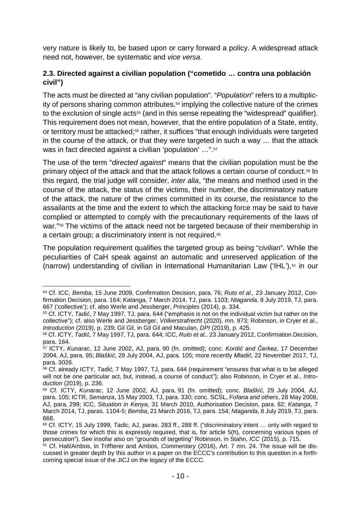<span id="page-11-9"></span>very nature is likely to, be based upon or carry forward a policy. A widespread attack need not, however, be systematic and *vice versa*.

#### <span id="page-11-0"></span>**2.3. Directed against a civilian population ("cometido … contra una población civil")**

The acts must be directed at "any civilian population". "*Population*" refers to a multiplic-ity of persons sharing common attributes,<sup>[54](#page-11-1)</sup> implying the collective nature of the crimes to the exclusion of single acts<sup>[55](#page-11-2)</sup> (and in this sense repeating the "widespread" qualifier). This requirement does not mean, however, that the entire population of a State, entity, or territory must be attacked;<sup>56</sup> rather, it suffices "that enough individuals were targeted in the course of the attack, or that they were targeted in such a way … that the attack was in fact directed against a civilian 'population' ...".<sup>[57](#page-11-4)</sup>

The use of the term "*directed against*" means that the civilian population must be the primary object of the attack and that the attack follows a certain course of conduct.[58](#page-11-5) In this regard, the trial judge will consider, *inter alia*, "the means and method used in the course of the attack, the status of the victims, their number, the discriminatory nature of the attack, the nature of the crimes committed in its course, the resistance to the assailants at the time and the extent to which the attacking force may be said to have complied or attempted to comply with the precautionary requirements of the laws of war."<sup>[59](#page-11-6)</sup> The victims of the attack need not be targeted because of their membership in a certain group; a discriminatory intent is not required.<sup>[60](#page-11-7)</sup>

The population requirement qualifies the targeted group as being "*civilian*". While the peculiarities of CaH speak against an automatic and unreserved application of the (narrow) understanding of civilian in International Humanitarian Law ('IHL'), $61$  in our

<span id="page-11-1"></span> <sup>54</sup> Cf. ICC, *Bemba*, 15 June 2009, Confirmation Decision, para. 76; *Ruto et al.,* 23 January 2012, Confirmation Decision, para. 164; *Katanga*, 7 March 2014, TJ, para. 1103; *Ntaganda*, 8 July 2019, TJ, para. 667 ('collective'); cf. also Werle and Jessberger, *Principles* (2014), p. 334.

<span id="page-11-2"></span><sup>55</sup> Cf. ICTY, *Tadić*, 7 May 1997, TJ, para. 644 ("emphasis is not on the individual victim but rather on the collective"); cf. also Werle and Jessberger, *Völkerstrafrecht* (2020), mn. 973; Robinson, in Cryer et al., *Introduction* (2019), p. 239; Gil Gil, in Gil Gil and Maculan, *DPI* (2019), p. 425.

<span id="page-11-3"></span><sup>56</sup> Cf. ICTY, *Tadić*, 7 May 1997, TJ, para. 644; ICC, *Ruto et al.,* 23 January 2012, Confirmation Decision, para. 164. 57 ICTY, *Kunarac*, 12 June 2002, AJ, para. 90 (fn. omitted); conc. *Kordi<sup>ć</sup> and Čerkez*, 17 December

<span id="page-11-4"></span><sup>2004,</sup> AJ, para. 95; *Blaškić*, 29 July 2004, AJ, para. 105; more recently *Mladić*, 22 November 2017, TJ, para. 3026.

<span id="page-11-5"></span><sup>58</sup> Cf. already ICTY, *Tadić*, 7 May 1997, TJ, para. 644 (requirement "ensures that what is to be alleged will not be one particular act, but, instead, a course of conduct"); also Robinson, in Cryer et al., *Introduction* (2019), p. 236.

<span id="page-11-6"></span><sup>59</sup> Cf. ICTY, *Kunarac*, 12 June 2002, AJ, para. 91 (fn. omitted); conc. *Blaškić*, 29 July 2004, AJ, para. 105; ICTR, *Semanza*, 15 May 2003, TJ, para. 330; conc. SCSL, *Fofana and others*, 28 May 2008, AJ, para. 299; ICC, *Situation in Kenya*, 31 March 2010, Authorisation Decision, para. 82; *Katanga*, 7 March 2014, TJ, paras. 1104-5; *Bemba*, 21 March 2016, TJ, para. 154; *Ntaganda*, 8 July 2019, TJ, para.

<span id="page-11-7"></span><sup>668. 60</sup> Cf. ICTY, 15 July 1999, *Tadic,* AJ, paras. 283 ff., 288 ff. ("discriminatory intent … only with regard to those crimes for which this is expressly required, that is, for article 5(h), concerning various types of persecution"). See insofar also on "grounds of targeting" Robinson, in Stahn, *ICC* (2015), p. 715.

<span id="page-11-8"></span><sup>61</sup> Cf. Hall/Ambos, in Triffterer and Ambos, *Commentary* (2016), Art. 7 mn. 24. The issue will be discussed in greater depth by this author in a paper on the ECCC's contribution to this question in a forthcoming special issue of the JICJ on the legacy of the ECCC.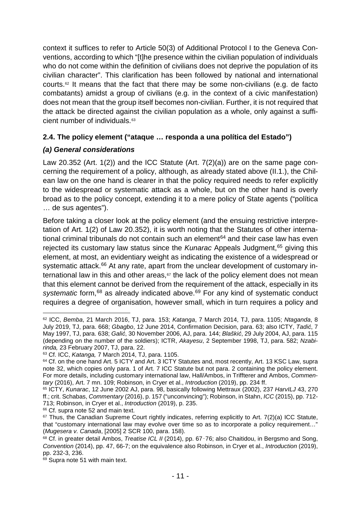context it suffices to refer to Article 50(3) of Additional Protocol I to the Geneva Conventions, according to which "[t]he presence within the civilian population of individuals who do not come within the definition of civilians does not deprive the population of its civilian character". This clarification has been followed by national and international courts.<sup>[62](#page-12-2)</sup> It means that the fact that there may be some non-civilians (e.g. de facto combatants) amidst a group of civilians (e.g. in the context of a civic manifestation) does not mean that the group itself becomes non-civilian. Further, it is not required that the attack be directed against the civilian population as a whole, only against a sufficient number of individuals.[63](#page-12-3) 

### <span id="page-12-0"></span>**2.4. The policy element ("ataque … responda a una política del Estado")**

### <span id="page-12-1"></span>*(a) General considerations*

Law 20.352 (Art. 1(2)) and the ICC Statute (Art. 7(2)(a)) are on the same page concerning the requirement of a policy, although, as already stated above (II.1.), the Chilean law on the one hand is clearer in that the policy required needs to refer explicitly to the widespread or systematic attack as a whole, but on the other hand is overly broad as to the policy concept, extending it to a mere policy of State agents ("política … de sus agentes").

Before taking a closer look at the policy element (and the ensuing restrictive interpretation of Art. 1(2) of Law 20.352), it is worth noting that the Statutes of other international criminal tribunals do not contain such an element $64$  and their case law has even rejected its customary law status since the *Kunarac* Appeals Judgment, [65](#page-12-5) giving this element, at most, an evidentiary weight as indicating the existence of a widespread or systematic attack.<sup>[66](#page-12-6)</sup> At any rate, apart from the unclear development of customary international law in this and other areas, $67$  the lack of the policy element does not mean that this element cannot be derived from the requirement of the attack, especially in its systematic form,<sup>[68](#page-12-8)</sup> as already indicated above.<sup>[69](#page-12-9)</sup> For any kind of systematic conduct requires a degree of organisation, however small, which in turn requires a policy and

<span id="page-12-2"></span> <sup>62</sup> ICC, *Bemba*, 21 March 2016, TJ, para. 153; *Katanga*, 7 March 2014, TJ, para. 1105; *Ntaganda*, 8 July 2019, TJ, para. 668; *Gbagbo*, 12 June 2014, Confirmation Decision, para. 63; also ICTY, *Tadić*, 7 May 1997, TJ, para. 638; *Galić*, 30 November 2006, AJ, para. 144; *Blaškić*, 29 July 2004, AJ, para. 115 (depending on the number of the soldiers); ICTR, *Akayesu*, 2 September 1998, TJ, para. 582; *Nzabirinda,* 23 February 2007, TJ, para. 22.

<span id="page-12-3"></span><sup>63</sup> Cf. ICC, *Katanga,* 7 March 2014, TJ, para. 1105.

<span id="page-12-4"></span><sup>&</sup>lt;sup>64</sup> Cf. on the one hand Art. 5 ICTY and Art. 3 ICTY Statutes and, most recently, Art. 13 KSC Law, supra note [32,](#page-8-9) which copies only para. 1 of Art. 7 ICC Statute but not para. 2 containing the policy element. For more details, including customary international law, Hall/Ambos, in Triffterer and Ambos, *Commentary* (2016), Art. 7 mn. 109; Robinson, in Cryer et al., *Introduction* (2019), pp. 234 ff.

<span id="page-12-5"></span><sup>65</sup> ICTY, *Kunarac*, 12 June 2002 AJ, para. 98, basically following Mettraux (2002), 237 *HarvILJ* 43, 270 ff.; crit. Schabas, *Commentary* (2016), p. 157 ("unconvincing"); Robinson, in Stahn, *ICC* (2015), pp. 712- 713; Robinson, in Cryer et al., *Introduction* (2019), p. 235.

<span id="page-12-6"></span><sup>&</sup>lt;sup>66</sup> Cf. supra note [52](#page-9-12) and main text.

<span id="page-12-7"></span><sup>&</sup>lt;sup>67</sup> Thus, the Canadian Supreme Court rightly indicates, referring explicitly to Art. 7(2)(a) ICC Statute, that "customary international law may evolve over time so as to incorporate a policy requirement...' (*Mugesera v. Canada*, [2005] 2 SCR 100, para. 158).

<span id="page-12-8"></span><sup>68</sup> Cf. in greater detail Ambos, *Treatise ICL II* (2014), pp. 67–76; also Chaitidou, in Bergsmo and Song, *Convention* (2014), pp. 47, 66-7; on the equivalence also Robinson, in Cryer et al., *Introduction* (2019), pp. 232-3, 236.

<span id="page-12-9"></span><sup>69</sup> Supra note [51](#page-10-9) with main text.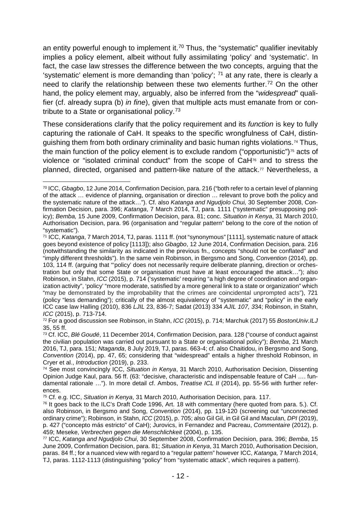<span id="page-13-9"></span><span id="page-13-8"></span>an entity powerful enough to implement it.<sup>70</sup> Thus, the "systematic" qualifier inevitably implies a policy element, albeit without fully assimilating 'policy' and 'systematic'. In fact, the case law stresses the difference between the two concepts, arguing that the 'systematic' element is more demanding than 'policy';  $71$  at any rate, there is clearly a need to clarify the relationship between these two elements further.<sup>[72](#page-13-2)</sup> On the other hand, the policy element may, arguably, also be inferred from the "*widespread*" qualifier (cf. already supra (b) *in fine*), given that multiple acts must emanate from or contribute to a State or organisational policy.<sup>73</sup>

These considerations clarify that the policy requirement and its *function* is key to fully capturing the rationale of CaH. It speaks to the specific wrongfulness of CaH, distinguishing them from both ordinary criminality and basic human rights violations.[74](#page-13-4) Thus, the main function of the policy element is to exclude random ("opportunistic") $75$  acts of violence or "isolated criminal conduct" from the scope of CaH[76](#page-13-6) and to stress the planned, directed, organised and pattern-like nature of the attack.[77](#page-13-7) Nevertheless, a

<span id="page-13-2"></span><sup>72</sup> For a good discussion see Robinson, in Stahn, *ICC* (2015), p. 714; Marchuk (2017) 55 *BostonUniv.ILJ* 35, 55 ff.

<sup>75</sup> Cf. e.g. ICC, *Situation in Kenya*, 31 March 2010, Authorisation Decision, para. 117.

<span id="page-13-0"></span> <sup>70</sup> ICC, *Gbagbo*, 12 June 2014, Confirmation Decision, para. 216 ("both refer to a certain level of planning of the attack … evidence of planning, organisation or direction … relevant to prove both the policy and the systematic nature of the attack…"). Cf. also *Katanga and Ngudjolo Chui,* 30 September 2008, Confirmation Decision, para. 396; *Katanga*, 7 March 2014, TJ, para. 1111 ("systematic" presupposing policy); *Bemba,* 15 June 2009, Confirmation Decision, para. 81; conc. *Situation in Kenya*, 31 March 2010, Authorisation Decision, para. 96 (organisation and "regular pattern" belong to the core of the notion of "systematic").<br><sup>71</sup> ICC, *Katanga*, 7 March 2014, TJ, paras. 1111 ff. (not "synonymous" [1111], systematic nature of attack

<span id="page-13-1"></span>goes beyond existence of policy [1113]); also *Gbagbo*, 12 June 2014, Confirmation Decision, para. 216 (notwithstanding the similarity as indicated in the previous fn., concepts "should not be conflated" and "imply different thresholds"). In the same vein Robinson, in Bergsmo and Song, *Convention* (2014), pp. 103, 114 ff. (arguing that "'policy' does not necessarily require deliberate planning, direction or orchestration but only that some State or organisation must have at least encouraged the attack…"); also Robinson, in Stahn, *ICC* (2015), p. 714 ('systematic' requiring "a high degree of coordination and organization activity", 'policy' "more moderate, satisfied by a more general link to a state or organization" which "may be demonstrated by the improbability that the crimes are coincidental unprompted acts"), 721 (policy "less demanding"); critically of the almost equivalency of "systematic" and "policy" in the early ICC case law Halling (2010), 836 *LJIL* 23, 836-7; Sadat (2013) 334 *AJIL 107, 3*34; Robinson, in Stahn, *ICC* (2015), p. 713-714.

<span id="page-13-3"></span><sup>73</sup> Cf. ICC, *Blé Goudé*, 11 December 2014, Confirmation Decision, para. 128 ("course of conduct against the civilian population was carried out pursuant to a State or organisational policy"); *Bemba*, 21 March 2016, TJ, para. 151; *Ntaganda*, 8 July 2019, TJ, paras. 663-4; cf. also Chaitidou, in Bergsmo and Song, *Convention* (2014), pp. 47, 65; considering that "widespread" entails a higher threshold Robinson, in Cryer et al., *Introduction* (2019), p. 233.

<span id="page-13-4"></span><sup>74</sup> See most convincingly ICC, *Situation in Kenya*, 31 March 2010, Authorisation Decision, Dissenting Opinion Judge Kaul, para. 56 ff. (63: "decisive, characteristic and indispensable feature of CaH …. fundamental rationale …"). In more detail cf. Ambos, *Treatise ICL II* (2014), pp. 55-56 with further references.

<span id="page-13-6"></span><span id="page-13-5"></span> $76$  It goes back to the ILC's Draft Code 1996, Art. 18 with commentary (here quoted from para. 5.). Cf. also Robinson, in Bergsmo and Song, *Convention* (2014), pp. 119-120 (screening out "unconnected ordinary crime"); Robinson, in Stahn, *ICC* (2015), p. 705; also Gil Gil, in Gil Gil and Maculan, *DPI* (2019), p. 427 ("concepto más estricto" of CaH); Jurovics, in Fernandez and Pacreau, *Commentaire* (2012), p.

<span id="page-13-7"></span><sup>&</sup>lt;sup>77</sup> ICC, *Katanga and Ngudjolo Chui*, 30 September 2008, Confirmation Decision, para. 396; *Bemba*, 15 June 2009, Confirmation Decision, para. 81; *Situation in Kenya*, 31 March 2010, Authorisation Decision, paras. 84 ff.; for a nuanced view with regard to a "regular pattern" however ICC, *Katanga,* 7 March 2014, TJ, paras. 1112-1113 (distinguishing "policy" from "systematic attack", which requires a pattern).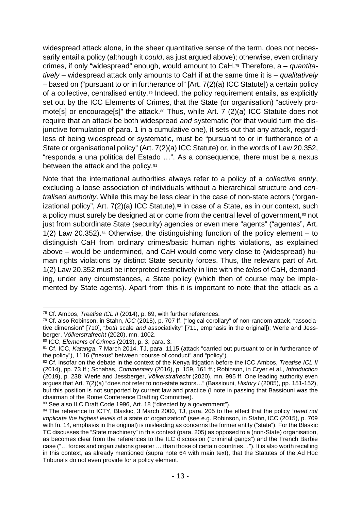widespread attack alone, in the sheer quantitative sense of the term, does not necessarily entail a policy (although it *could*, as just argued above); otherwise, even ordinary crimes, if only "widespread" enough, would amount to CaH.[78](#page-14-0) Therefore, a – *quantitatively* – widespread attack only amounts to CaH if at the same time it is – *qualitatively* – based on ("pursuant to or in furtherance of" [Art. 7(2)(a) ICC Statute]) a certain policy of a collective, centralised entity.[79](#page-14-1) Indeed, the policy requirement entails, as explicitly set out by the ICC Elements of Crimes, that the State (or organisation) "actively promote[s] or encourage[s]" the attack.<sup>80</sup> Thus, while Art. 7 (2)(a) ICC Statute does not require that an attack be both widespread *and* systematic (for that would turn the disjunctive formulation of para. 1 in a cumulative one), it sets out that any attack, regardless of being widespread or systematic, must be "pursuant to or in furtherance of a State or organisational policy" (Art. 7(2)(a) ICC Statute) or, in the words of Law 20.352, "responda a una política del Estado …". As a consequence, there must be a nexus between the attack and the policy.<sup>[81](#page-14-3)</sup>

Note that the international authorities always refer to a policy of a *collective entity*, excluding a loose association of individuals without a hierarchical structure and *centralised authority*. While this may be less clear in the case of non-state actors ("organizational policy", Art.  $7(2)(a)$  ICC Statute),<sup>[82](#page-14-4)</sup> in case of a State, as in our context, such a policy must surely be designed at or come from the central level of government,<sup>[83](#page-14-5)</sup> not just from subordinate State (security) agencies or even mere "agents" ("agentes", Art. 1(2) Law 20.352).<sup>[84](#page-14-6)</sup> Otherwise, the distinguishing function of the policy element – to distinguish CaH from ordinary crimes/basic human rights violations, as explained above – would be undermined, and CaH would come very close to (widespread) human rights violations by distinct State security forces. Thus, the relevant part of Art. 1(2) Law 20.352 must be interpreted restrictively in line with the *telos* of CaH, demanding, under any circumstances, a State policy (which then of course may be implemented by State agents). Apart from this it is important to note that the attack as a

<span id="page-14-0"></span> <sup>78</sup> Cf. Ambos, *Treatise ICL II* (2014), p. 69, with further references.

<span id="page-14-1"></span><sup>79</sup> Cf. also Robinson, in Stahn, *ICC* (2015), p. 707 ff. ("logical corollary" of non-random attack, "associative dimension" [710], "*both* scale *and* associativity" [711, emphasis in the original]); Werle and Jessberger, *Völkerstrafrecht* (2020), mn. 1002.

<span id="page-14-2"></span><sup>80</sup> ICC, *Elements of Crimes* (2013), p. 3, para. 3.

<span id="page-14-3"></span><sup>81</sup> Cf. ICC, *Katanga*, 7 March 2014, TJ, para. 1115 (attack "carried out pursuant to or in furtherance of the policy"), 1116 ("nexus" between "course of conduct" and "policy").

<span id="page-14-4"></span><sup>82</sup> Cf. insofar on the debate in the context of the Kenya litigation before the ICC Ambos, *Treatise ICL II* (2014), pp. 73 ff.; Schabas, *Commentary* (2016), p. 159, 161 ff.; Robinson, in Cryer et al., *Introduction* (2019), p. 238; Werle and Jessberger, *Völkerstrafrecht* (2020), mn. 995 ff. One leading authority even argues that Art. 7(2)(a) "does not refer to non-state actors…" (Bassiouni, *History I* (2005), pp. 151-152), but this position is not supported by current law and practice (I note in passing that Bassiouni was the chairman of the Rome Conference Drafting Committee).

<span id="page-14-5"></span><sup>83</sup> See also ILC Draft Code 1996, Art. 18 ("directed by a government").

<span id="page-14-6"></span><sup>84</sup> The reference to ICTY, Blaskic, 3 March 2000, TJ, para. 205 to the effect that the policy "*need not implicate the highest levels* of a state or organization" (see e.g. Robinson, in Stahn, ICC (2015), p. 709 with fn. 14, emphasis in the original) is misleading as concerns the former entity ("state"). For the Blaskic TC discusses the "State machinery" in this context (para. 205) as opposed to a (non-State) organisation, as becomes clear from the references to the ILC discussion ("criminal gangs") and the French Barbie case ("… forces and organizations greater … than those of certain countries…"). It is also worth recalling in this context, as already mentioned (supra note [64](#page-11-9) with main text), that the Statutes of the Ad Hoc Tribunals do not even provide for a policy element.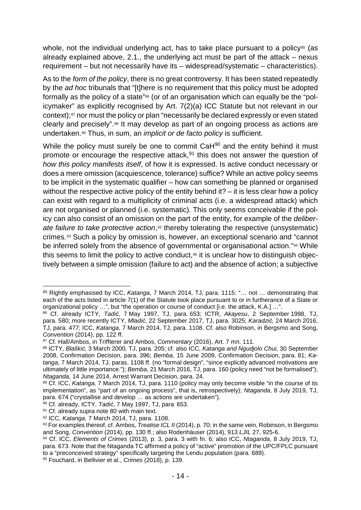whole, not the individual underlying act, has to take place pursuant to a policy<sup>[85](#page-15-0)</sup> (as already explained above, 2.1., the underlying act must be part of the attack – nexus requirement – but not necessarily have its – widespread/systematic – characteristics).

As to the *form of the policy*, there is no great controversy. It has been stated repeatedly by the *ad hoc* tribunals that "[t]here is no requirement that this policy must be adopted formally as the policy of a state"[86](#page-15-1) (or of an organisation which can equally be the "policymaker" as explicitly recognised by Art. 7(2)(a) ICC Statute but not relevant in our context);<sup>[87](#page-15-2)</sup> nor must the policy or plan "necessarily be declared expressly or even stated clearly and precisely".[88](#page-15-3) It may develop as part of an ongoing process as actions are undertaken.[89](#page-15-4) Thus, in sum, an *implicit or de facto policy* is sufficient.

While the policy must surely be one to commit CaH<sup>90</sup> and the entity behind it must promote or encourage the respective attack, $91$  this does not answer the question of *how this policy manifests itself*, of how it is expressed. Is active conduct necessary or does a mere omission (acquiescence, tolerance) suffice? While an active policy seems to be implicit in the systematic qualifier – how can something be planned or organised without the respective active policy of the entity behind it? – it is less clear how a policy can exist with regard to a multiplicity of criminal acts (i.e. a widespread attack) which are not organised or planned (i.e. systematic). This only seems conceivable if the policy can also consist of an omission on the part of the entity, for example of the *deliberate failure to take protective action*,<sup>[92](#page-15-7)</sup> thereby tolerating the respective (unsystematic) crimes.[93](#page-15-8) Such a policy by omission is, however, an exceptional scenario and "cannot be inferred solely from the absence of governmental or organisational action."<sup>[94](#page-15-9)</sup> While this seems to limit the policy to active conduct, $95$  it is unclear how to distinguish objectively between a simple omission (failure to act) and the absence of action; a subjective

<span id="page-15-11"></span><span id="page-15-0"></span> <sup>85</sup> Rightly emphasised by ICC, *Katanga,* 7 March 2014, TJ, para. 1115: "… not … demonstrating that each of the acts listed in article 7(1) of the Statute took place pursuant to or in furtherance of a State or organizational policy …", but "the operation or course of conduct [i.e. the attack, K.A.] …".

<span id="page-15-1"></span><sup>86</sup> Cf. already ICTY, *Tadić*, 7 May 1997, TJ, para. 653; ICTR, *Akayesu*, 2 September 1998, TJ, para. 580; more recently ICTY, *Mladić*, 22 September 2017, TJ, para. 3025; *Karadzić,* 24 March 2016, TJ, para. 477; ICC, *Katanga*, 7 March 2014, TJ, para. 1108. Cf. also Robinson, in Bergsmo and Song, *Convention* (2014), pp. 122 ff.

<span id="page-15-2"></span><sup>87</sup> Cf. Hall/Ambos, in Triffterer and Ambos, *Commentary* (2016), Art. 7 mn. 111.

<span id="page-15-3"></span><sup>88</sup> ICTY, *Blaškić*, 3 March 2000*,* TJ, para. 205; cf. also ICC, *Katanga and Ngudjolo Chui,* 30 September 2008, Confirmation Decision, para. 396; *Bemba,* 15 June 2009, Confirmation Decision, para. 81; *Katanga*, 7 March 2014, TJ, paras. 1108 ff. (no "formal design", "since explicitly advanced motivations are ultimately of little importance."); *Bemba*, 21 March 2016, TJ, para. 160 (policy need "not be formalised"); *Ntaganda,* 14 June 2014, Arrest Warrant Decision, para. 24.

<span id="page-15-4"></span><sup>89</sup> Cf. ICC, Katanga, 7 March 2014, TJ, para. 1110 (policy may only become visible "in the course of its implementation", as "part of an ongoing process", that is, retrospectively); *Ntaganda*, 8 July 2019, TJ, para. 674 ("crystallise and develop … as actions are undertaken").

<span id="page-15-5"></span><sup>90</sup> Cf. already, ICTY, *Tadić*, 7 May 1997, TJ, para. 653.

<span id="page-15-6"></span><sup>&</sup>lt;sup>91</sup> Cf. already supra note [80](#page-13-8) with main text.

<span id="page-15-7"></span><sup>92</sup> ICC, *Katanga,* 7 March 2014, TJ, para. 1108.

<span id="page-15-8"></span><sup>93</sup> For examples thereof, cf. Ambos, *Treatise ICL II* (2014), p. 70; in the same vein, Robinson, in Bergsmo and Song, *Convention* (2014), pp. 130 ff.; also Rodenhäuser (2014), 913 *LJIL* 27, 925-6.

<span id="page-15-9"></span><sup>94</sup> Cf. ICC, *Elements of Crimes* (2013), p. 3, para. 3 with fn. 6; also ICC, *Ntaganda*, 8 July 2019, TJ, para. 673. Note that the Ntaganda TC affirmed a policy of "active" promotion of the UPC/FPLC pursuant to a "preconceived strategy" specifically targeting the Lendu population (para. 689).

<span id="page-15-10"></span><sup>95</sup> Fouchard, in Bellivier et al., *Crimes* (2018), p. 139.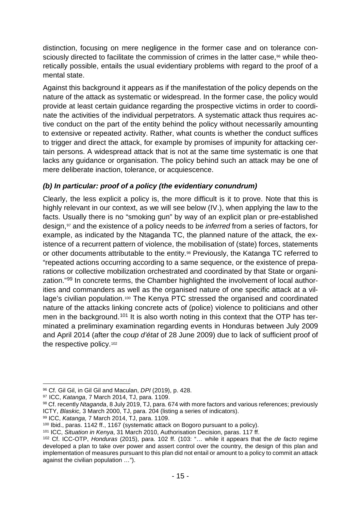<span id="page-16-8"></span>distinction, focusing on mere negligence in the former case and on tolerance con-sciously directed to facilitate the commission of crimes in the latter case,<sup>[96](#page-16-1)</sup> while theoretically possible, entails the usual evidentiary problems with regard to the proof of a mental state.

Against this background it appears as if the manifestation of the policy depends on the nature of the attack as systematic or widespread. In the former case, the policy would provide at least certain guidance regarding the prospective victims in order to coordinate the activities of the individual perpetrators. A systematic attack thus requires active conduct on the part of the entity behind the policy without necessarily amounting to extensive or repeated activity. Rather, what counts is whether the conduct suffices to trigger and direct the attack, for example by promises of impunity for attacking certain persons. A widespread attack that is not at the same time systematic is one that lacks any guidance or organisation. The policy behind such an attack may be one of mere deliberate inaction, tolerance, or acquiescence.

#### <span id="page-16-0"></span>*(b) In particular: proof of a policy (the evidentiary conundrum)*

Clearly, the less explicit a policy is, the more difficult is it to prove. Note that this is highly relevant in our context, as we will see below (IV.), when applying the law to the facts. Usually there is no "smoking gun" by way of an explicit plan or pre-established design,[97](#page-16-2) and the existence of a policy needs to be *inferred* from a series of factors, for example, as indicated by the Ntaganda TC, the planned nature of the attack, the existence of a recurrent pattern of violence, the mobilisation of (state) forces, statements or other documents attributable to the entity.[98](#page-16-3) Previously, the Katanga TC referred to "repeated actions occurring according to a same sequence, or the existence of preparations or collective mobilization orchestrated and coordinated by that State or organization."[99](#page-16-4) In concrete terms, the Chamber highlighted the involvement of local authorities and commanders as well as the organised nature of one specific attack at a village's civilian population.[100](#page-16-5) The Kenya PTC stressed the organised and coordinated nature of the attacks linking concrete acts of (police) violence to politicians and other men in the background.<sup>[101](#page-16-6)</sup> It is also worth noting in this context that the OTP has terminated a preliminary examination regarding events in Honduras between July 2009 and April 2014 (after the *coup d'état* of 28 June 2009) due to lack of sufficient proof of the respective policy.<sup>[102](#page-16-7)</sup>

<span id="page-16-5"></span><sup>100</sup> Ibid., paras. 1142 ff., 1167 (systematic attack on Bogoro pursuant to a policy).

<span id="page-16-1"></span><sup>96</sup> Cf. Gil Gil, in Gil Gil and Maculan, *DPI* (2019), p. 428.<br><sup>97</sup> ICC, *Katanga*, 7 March 2014, TJ, para. 1109.

<span id="page-16-3"></span><span id="page-16-2"></span><sup>98</sup> Cf. recently *Ntaganda*, 8 July 2019, TJ, para. 674 with more factors and various references; previously ICTY, *Blaskic,* 3 March 2000, TJ, para. 204 (listing a series of indicators).

<span id="page-16-4"></span><sup>99</sup> ICC, *Katanga,* 7 March 2014, TJ, para. 1109.

<span id="page-16-6"></span><sup>101</sup> ICC, *Situation in Kenya*, 31 March 2010, Authorisation Decision, paras. 117 ff.

<span id="page-16-7"></span><sup>102</sup> Cf. ICC-OTP, *Honduras* (2015), para. 102 ff. (103: "… while it appears that the *de facto* regime developed a plan to take over power and assert control over the country, the design of this plan and implementation of measures pursuant to this plan did not entail or amount to a policy to commit an attack against the civilian population …").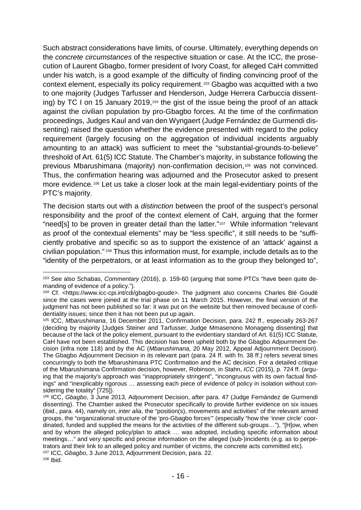Such abstract considerations have limits, of course. Ultimately, everything depends on the *concrete circumstances* of the respective situation or case. At the ICC, the prosecution of Laurent Gbagbo, former president of Ivory Coast, for alleged CaH committed under his watch, is a good example of the difficulty of finding convincing proof of the context element, especially its policy requirement.[103](#page-17-0) Gbagbo was acquitted with a two to one majority (Judges Tarfusser and Henderson, Judge Herrera Carbuccia dissenting) by TC I on 15 January 2019,[104](#page-17-1) the gist of the issue being the proof of an attack against the civilian population by pro-Gbagbo forces. At the time of the confirmation proceedings, Judges Kaul and van den Wyngaert (Judge Fernández de Gurmendi dissenting) raised the question whether the evidence presented with regard to the policy requirement (largely focusing on the aggregation of individual incidents arguably amounting to an attack) was sufficient to meet the "substantial-grounds-to-believe" threshold of Art. 61(5) ICC Statute. The Chamber's majority, in substance following the previous Mbarushimana (majority) non-confirmation decision[,105](#page-17-2) was not convinced. Thus, the confirmation hearing was adjourned and the Prosecutor asked to present more evidence.<sup>[106](#page-17-3)</sup> Let us take a closer look at the main legal-evidentiary points of the PTC's majority.

The decision starts out with a *distinction* between the proof of the suspect's personal responsibility and the proof of the context element of CaH, arguing that the former "need[s] to be proven in greater detail than the latter."<sup>[107](#page-17-4)</sup> While information "relevant as proof of the contextual elements" may be "less specific", it still needs to be "sufficiently probative and specific so as to support the existence of an 'attack' against a civilian population." [108](#page-17-5) Thus this information must, for example, include details as to the "identity of the perpetrators, or at least information as to the group they belonged to",

<span id="page-17-0"></span> <sup>103</sup> See also Schabas, *Commentary* (2016), p. 159-60 (arguing that some PTCs "have been quite demanding of evidence of a policy.").

<span id="page-17-1"></span><sup>104</sup> Cf. <https://www.icc-cpi.int/cdi/gbagbo-goude>. The judgment also concerns Charles Blé Goudé since the cases were joined at the trial phase on 11 March 2015. However, the final version of the judgment has not been published so far: it was put on the website but then removed because of confidentiality issues; since then it has not been put up again.

<span id="page-17-2"></span><sup>105</sup> ICC, *Mbarushimana*, 16 December 2011, Confirmation Decision, para. 242 ff., especially 263-267 (deciding by majority [Judges Steiner and Tarfusser, Judge Mmasenono Monageng dissenting] that because of the lack of the policy element, pursuant to the evidentiary standard of Art. 61(5) ICC Statute, CaH have not been established. This decision has been upheld both by the Gbagbo Adjournment Decision (infra note [118\)](#page-18-0) and by the AC (*Mbarushimana,* 20 May 2012, Appeal Adjournment Decision). The Gbagbo Adjournment Decision in its relevant part (para. 24 ff. with fn. 38 ff.) refers several times concurringly to both the Mbarushimana PTC Confirmation and the AC decision. For a detailed critique of the Mbarushimana Confirmation decision, however, Robinson, in Stahn, *ICC* (2015), p. 724 ff. (arguing that the majority's approach was "inappropriately stringent", "incongruous with its own factual findings" and "inexplicably rigorous … assessing each piece of evidence of policy in isolation without considering the totality" [725]).

<span id="page-17-5"></span><span id="page-17-4"></span><span id="page-17-3"></span><sup>106</sup> ICC, *Gbagbo*, 3 June 2013, Adjournment Decision, after para. 47 (Judge Fernández de Gurmendi dissenting). The Chamber asked the Prosecutor specifically to provide further evidence on six issues (ibid., para. 44), namely on, *inter alia*, the "position(s), movements and activities" of the relevant armed groups, the "organizational structure of the 'pro-Gbagbo forces'" (especially "how the 'inner circle' coordinated, funded and supplied the means for the activities of the different sub-groups…"), "[H]ow, when and by whom the alleged policy/plan to attack … was adopted, including specific information about meetings…" and very specific and precise information on the alleged (sub-)incidents (e.g. as to perpetrators and their link to an alleged policy and number of victims, the concrete acts committed etc). <sup>107</sup> ICC, *Gbagbo*, 3 June 2013, Adjournment Decision, para. 22. <sup>108</sup> Ibid.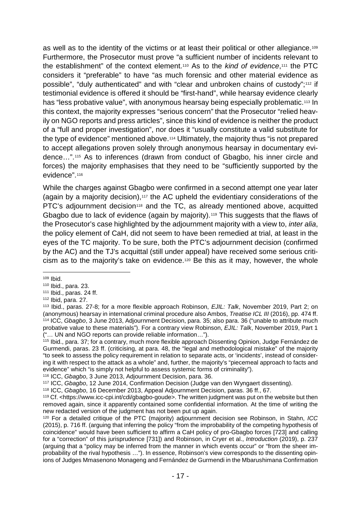as well as to the identity of the victims or at least their political or other allegiance.[109](#page-18-1) Furthermore, the Prosecutor must prove "a sufficient number of incidents relevant to the establishment" of the context element.[110](#page-18-2) As to the *kind of evidence*,[111](#page-18-3) the PTC considers it "preferable" to have "as much forensic and other material evidence as possible", "duly authenticated" and with "clear and unbroken chains of custody";[112](#page-18-4) if testimonial evidence is offered it should be "first-hand", while hearsay evidence clearly has "less probative value", with anonymous hearsay being especially problematic.<sup>[113](#page-18-5)</sup> In this context, the majority expresses "serious concern" that the Prosecutor "relied heavily on NGO reports and press articles", since this kind of evidence is neither the product of a "full and proper investigation", nor does it "usually constitute a valid substitute for the type of evidence" mentioned above.[114](#page-18-6) Ultimately, the majority thus "is not prepared to accept allegations proven solely through anonymous hearsay in documentary evidence…".[115](#page-18-7) As to inferences (drawn from conduct of Gbagbo, his inner circle and forces) the majority emphasises that they need to be "sufficiently supported by the evidence".[116](#page-18-8)

<span id="page-18-0"></span>While the charges against Gbagbo were confirmed in a second attempt one year later (again by a majority decision),<sup>[117](#page-18-9)</sup> the AC upheld the evidentiary considerations of the PTC's adjournment decision<sup>[118](#page-18-10)</sup> and the TC, as already mentioned above, acquitted Gbagbo due to lack of evidence (again by majority).<sup>[119](#page-18-11)</sup> This suggests that the flaws of the Prosecutor's case highlighted by the adjournment majority with a view to, *inter alia*, the policy element of CaH, did not seem to have been remedied at trial, at least in the eyes of the TC majority. To be sure, both the PTC's adjournment decision (confirmed by the AC) and the TJ's acquittal (still under appeal) have received some serious criticism as to the majority's take on evidence.[120](#page-18-12) Be this as it may, however, the whole

<span id="page-18-1"></span> <sup>109</sup> Ibid.

<span id="page-18-2"></span><sup>110</sup> Ibid., para. 23.

<span id="page-18-3"></span><sup>111</sup> Ibid., paras. 24 ff.

<span id="page-18-4"></span><sup>112</sup> Ibid, para. 27.

<span id="page-18-6"></span><span id="page-18-5"></span><sup>113</sup> Ibid., paras. 27-8; for a more flexible approach Robinson, *EJIL: Talk*, November 2019, Part 2; on (anonymous) hearsay in international criminal procedure also Ambos, *Treatise ICL III* (2016), pp. 474 ff. <sup>114</sup> ICC, *Gbagbo*, 3 June 2013, Adjournment Decision, para. 35; also para. 36 ("unable to attribute much probative value to these materials"). For a contrary view Robinson, *EJIL: Talk*, November 2019, Part 1 ("… UN and NGO reports can provide reliable information…").

<span id="page-18-7"></span><sup>115</sup> Ibid., para. 37; for a contrary, much more flexible approach Dissenting Opinion, Judge Fernández de Gurmendi, paras. 23 ff. (criticising, at para. 48, the "legal and methodological mistake" of the majority "to seek to assess the policy requirement in relation to separate acts, or 'incidents', instead of considering it with respect to the attack as a whole" and, further, the majority's "piecemeal approach to facts and evidence" which "is simply not helpful to assess systemic forms of criminality").

<sup>116</sup> ICC, *Gbagbo*, 3 June 2013, Adjournment Decision, para. 36.

<span id="page-18-10"></span><span id="page-18-9"></span><span id="page-18-8"></span><sup>117</sup> ICC, *Gbagbo*, 12 June 2014, Confirmation Decision (Judge van den Wyngaert dissenting).

<sup>118</sup> ICC, *Gbagbo*, 16 December 2013, Appeal Adjournment Decision, paras. 36 ff., 67.

<span id="page-18-11"></span><sup>&</sup>lt;sup>119</sup> Cf. <https://www.icc-cpi.int/cdi/gbagbo-goude>. The written judgment was put on the website but then removed again, since it apparently contained some confidential information. At the time of writing the new redacted version of the judgment has not been put up again.

<span id="page-18-12"></span><sup>120</sup> For a detailed critique of the PTC (majority) adjournment decision see Robinson, in Stahn, *ICC* (2015), p. 716 ff. (arguing that inferring the policy "from the improbability of the competing hypothesis of coincidence" would have been sufficient to affirm a CaH policy of pro-Gbagbo forces [723] and calling for a "correction" of this jurisprudence [731]) and Robinson, in Cryer et al., *Introduction* (2019), p. 237 (arguing that a "policy may be inferred from the manner in which events occur" or "from the sheer improbability of the rival hypothesis …"). In essence, Robinson's view corresponds to the dissenting opinions of Judges Mmasenono Monageng and Fernández de Gurmendi in the Mbarushimana Confirmation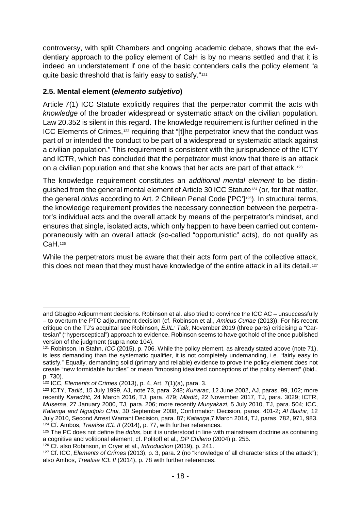controversy, with split Chambers and ongoing academic debate, shows that the evidentiary approach to the policy element of CaH is by no means settled and that it is indeed an understatement if one of the basic contenders calls the policy element "a quite basic threshold that is fairly easy to satisfy."[121](#page-19-1)

### <span id="page-19-0"></span>**2.5. Mental element (***elemento subjetivo***)**

Article 7(1) ICC Statute explicitly requires that the perpetrator commit the acts with *knowledge* of the broader widespread or systematic *attack* on the civilian population. Law 20.352 is silent in this regard. The knowledge requirement is further defined in the ICC Elements of Crimes,[122](#page-19-2) requiring that "[t]he perpetrator knew that the conduct was part of or intended the conduct to be part of a widespread or systematic attack against a civilian population." This requirement is consistent with the jurisprudence of the ICTY and ICTR, which has concluded that the perpetrator must know that there is an attack on a civilian population and that she knows that her acts are part of that attack.[123](#page-19-3)

The knowledge requirement constitutes an *additional mental element* to be distinguished from the general mental element of Article 30 ICC Statut[e124](#page-19-4) (or, for that matter, the general *dolus* according to Art. 2 Chilean Penal Code ['PC'][125\)](#page-19-5). In structural terms, the knowledge requirement provides the necessary connection between the perpetrator's individual acts and the overall attack by means of the perpetrator's mindset, and ensures that single, isolated acts, which only happen to have been carried out contemporaneously with an overall attack (so-called "opportunistic" acts), do not qualify as CaH.[126](#page-19-6)

While the perpetrators must be aware that their acts form part of the collective attack, this does not mean that they must have knowledge of the entire attack in all its detail.<sup>[127](#page-19-7)</sup>

and Gbagbo Adjournment decisions. Robinson et al. also tried to convince the ICC AC – unsuccessfully – to overturn the PTC adjournment decision (cf. Robinson et al., *Amicus Curiae* (2013)). For his recent critique on the TJ's acquittal see Robinson, *EJIL: Talk*, November 2019 (three parts) criticising a "Cartesian" ("hypersceptical") approach to evidence. Robinson seems to have got hold of the once published version of the judgment (supra note [104\)](#page-16-8).

<span id="page-19-1"></span><sup>121</sup> Robinson, in Stahn, *ICC* (2015), p. 706. While the policy element, as already stated above (note [71\)](#page-13-9), is less demanding than the systematic qualifier, it is not completely undemanding, i.e. "fairly easy to satisfy." Equally, demanding solid (primary and reliable) evidence to prove the policy element does not create "new formidable hurdles" or mean "imposing idealized conceptions of the policy element" (ibid., p. 730).

<span id="page-19-2"></span><sup>122</sup> ICC, *Elements of Crimes* (2013), p. 4, Art. 7(1)(a), para. 3.

<span id="page-19-3"></span><sup>123</sup> ICTY, *Tadić*, 15 July 1999, AJ, note 73, para. 248; *Kunarac,* 12 June 2002, AJ, paras. 99, 102; more recently *Karadžić*, 24 March 2016, TJ, para. 479; *Mladić*, 22 November 2017, TJ, para. 3029; ICTR, *Musema*, 27 January 2000, TJ, para. 206; more recently *Munyakazi*, 5 July 2010, TJ, para. 504; ICC, *Katanga and Ngudjolo Chui,* 30 September 2008, Confirmation Decision, paras. 401-2; *Al Bashir,* 12 July 2010, Second Arrest Warrant Decision, para. 87; *Katanga*, 7 March 2014, TJ, paras. 782, 971, 983. <sup>124</sup> Cf. Ambos, *Treatise ICL II* (2014), p. 77, with further references.

<span id="page-19-5"></span><span id="page-19-4"></span><sup>125</sup> The PC does not define the *dolus*, but it is understood in line with mainstream doctrine as containing a cognitive and volitional element, cf. Politoff et al., *DP Chileno* (2004) p. 255. 126 Cf. also Robinson, in Cryer et al., *Introduction* (2019), p. 241.

<span id="page-19-7"></span><span id="page-19-6"></span><sup>127</sup> Cf. ICC, *Elements of Crimes* (2013), p. 3, para. 2 (no "knowledge of all characteristics of the attack"); also Ambos, *Treatise ICL II* (2014), p. 78 with further references.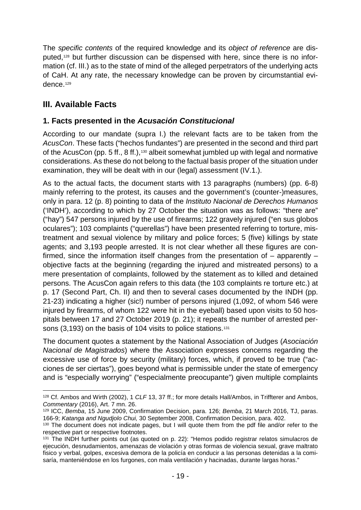The *specific contents* of the required knowledge and its *object of reference* are disputed,[128](#page-20-2) but further discussion can be dispensed with here, since there is no information (cf. III.) as to the state of mind of the alleged perpetrators of the underlying acts of CaH. At any rate, the necessary knowledge can be proven by circumstantial evi-dence.<sup>[129](#page-20-3)</sup>

# <span id="page-20-0"></span>**III. Available Facts**

### <span id="page-20-1"></span>**1. Facts presented in the** *Acusación Constitucional*

According to our mandate (supra I.) the relevant facts are to be taken from the *AcusCon*. These facts ("hechos fundantes") are presented in the second and third part of the AcusCon (pp. 5 ff., 8 ff.),[130](#page-20-4) albeit somewhat jumbled up with legal and normative considerations. As these do not belong to the factual basis proper of the situation under examination, they will be dealt with in our (legal) assessment (IV.1.).

As to the actual facts, the document starts with 13 paragraphs (numbers) (pp. 6-8) mainly referring to the protest, its causes and the government's (counter-)measures, only in para. 12 (p. 8) pointing to data of the *Instituto Nacional de Derechos Humanos* ('INDH'), according to which by 27 October the situation was as follows: "there are" ("hay") 547 persons injured by the use of firearms; 122 gravely injured ("en sus globos oculares"); 103 complaints ("querellas") have been presented referring to torture, mistreatment and sexual violence by military and police forces; 5 (five) killings by state agents; and 3,193 people arrested. It is not clear whether all these figures are confirmed, since the information itself changes from the presentation of – apparently – objective facts at the beginning (regarding the injured and mistreated persons) to a mere presentation of complaints, followed by the statement as to killed and detained persons. The AcusCon again refers to this data (the 103 complaints re torture etc.) at p. 17 (Second Part, Ch. II) and then to several cases documented by the INDH (pp. 21-23) indicating a higher (sic!) number of persons injured (1,092, of whom 546 were injured by firearms, of whom 122 were hit in the eyeball) based upon visits to 50 hospitals between 17 and 27 October 2019 (p. 21); it repeats the number of arrested per-sons (3,193) on the basis of 104 visits to police stations.<sup>[131](#page-20-5)</sup>

The document quotes a statement by the National Association of Judges (*Asociación Nacional de Magistrados*) where the Association expresses concerns regarding the excessive use of force by security (military) forces, which, if proved to be true ("acciones de ser ciertas"), goes beyond what is permissible under the state of emergency and is "especially worrying" ("especialmente preocupante") given multiple complaints

<span id="page-20-2"></span> <sup>128</sup> Cf. Ambos and Wirth (2002), <sup>1</sup>*CLF* 13, 37 ff.; for more details Hall/Ambos, in Triffterer and Ambos, *Commentary* (2016), Art. 7 mn. 26.

<span id="page-20-3"></span><sup>129</sup> ICC, *Bemba*, 15 June 2009, Confirmation Decision, para. 126; *Bemba*, 21 March 2016, TJ, paras. 166-9; *Katanga and Ngudjolo Chui,* 30 September 2008, Confirmation Decision, para. 402.

<span id="page-20-4"></span><sup>&</sup>lt;sup>130</sup> The document does not indicate pages, but I will quote them from the pdf file and/or refer to the respective part or respective footnotes.

<span id="page-20-5"></span><sup>&</sup>lt;sup>131</sup> The INDH further points out (as quoted on p. 22): "Hemos podido registrar relatos simulacros de ejecución, desnudamientos, amenazas de violación y otras formas de violencia sexual, grave maltrato fisico y verbal, golpes, excesiva demora de la policía en conducir a las personas detenidas a la comisaría, manteniéndose en los furgones, con mala ventilación y hacinadas, durante largas horas."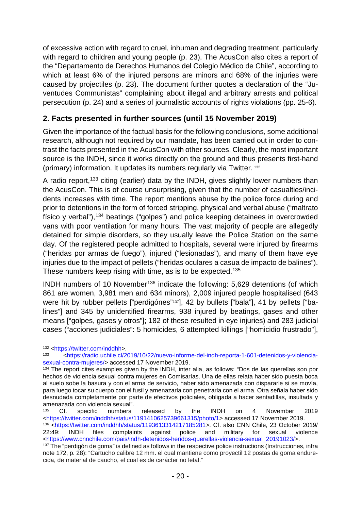of excessive action with regard to cruel, inhuman and degrading treatment, particularly with regard to children and young people (p. 23). The AcusCon also cites a report of the "Departamento de Derechos Humanos del Colegio Médico de Chile", according to which at least 6% of the injured persons are minors and 68% of the injuries were caused by projectiles (p. 23). The document further quotes a declaration of the "Juventudes Communistas" complaining about illegal and arbitrary arrests and political persecution (p. 24) and a series of journalistic accounts of rights violations (pp. 25-6).

# <span id="page-21-0"></span>**2. Facts presented in further sources (until 15 November 2019)**

Given the importance of the factual basis for the following conclusions, some additional research, although not required by our mandate, has been carried out in order to contrast the facts presented in the AcusCon with other sources. Clearly, the most important source is the INDH, since it works directly on the ground and thus presents first-hand (primary) information. It updates its numbers regularly via Twitter. [132](#page-21-1)

A radio report,<sup>[133](#page-21-2)</sup> citing (earlier) data by the INDH, gives slightly lower numbers than the AcusCon. This is of course unsurprising, given that the number of casualties/incidents increases with time. The report mentions abuse by the police force during and prior to detentions in the form of forced stripping, physical and verbal abuse ("maltrato físico y verbal"), [134](#page-21-3) beatings ("golpes") and police keeping detainees in overcrowded vans with poor ventilation for many hours. The vast majority of people are allegedly detained for simple disorders, so they usually leave the Police Station on the same day. Of the registered people admitted to hospitals, several were injured by firearms ("heridas por armas de fuego"), injured ("lesionadas"), and many of them have eye injuries due to the impact of pellets ("heridas oculares a casua de impacto de balines"). These numbers keep rising with time, as is to be expected.<sup>[135](#page-21-4)</sup>

INDH numbers of 10 November[136](#page-21-5) indicate the following: 5,629 detentions (of which 861 are women, 3,981 men and 634 minors), 2,009 injured people hospitalised (643 were hit by rubber pellets ["perdigónes"<sup>[137](#page-21-6)</sup>], 42 by bullets ["bala"], 41 by pellets ["balines"] and 345 by unidentified firearms, 938 injured by beatings, gases and other means ["golpes, gases y otros"]; 182 of these resulted in eye injuries) and 283 judicial cases ("acciones judiciales": 5 homicides, 6 attempted killings ["homicidio frustrado"],

<span id="page-21-1"></span> $132$  [<https://twitter.com/inddhh>](https://twitter.com/inddhh).

<span id="page-21-2"></span><sup>133</sup> [<https://radio.uchile.cl/2019/10/22/nuevo-informe-del-indh-reporta-1-601-detenidos-y-violencia](https://radio.uchile.cl/2019/10/22/nuevo-informe-del-indh-reporta-1-601-detenidos-y-violencia-sexual-contra-mujeres/)[sexual-contra-mujeres/>](https://radio.uchile.cl/2019/10/22/nuevo-informe-del-indh-reporta-1-601-detenidos-y-violencia-sexual-contra-mujeres/) accessed 17 November 2019.

<span id="page-21-3"></span><sup>134</sup> The report cites examples given by the INDH, inter alia, as follows: "Dos de las querellas son por hechos de violencia sexual contra mujeres en Comisarías. Una de ellas relata haber sido puesta boca al suelo sobe la basura y con el arma de servicio, haber sido amenazada con dispararle si se movía, para luego tocar su cuerpo con el fusil y amenazarla con penetrarla con el arma. Otra señala haber sido desnudada completamente por parte de efectivos policiales, obligada a hacer sentadillas, insultada y amenazada con violencia sexual".

<span id="page-21-5"></span><span id="page-21-4"></span><sup>135</sup> Cf. specific numbers released by the INDH on 4 November 2019 [<https://twitter.com/inddhh/status/1191410625739661315/photo/1>](https://twitter.com/inddhh/status/1191410625739661315/photo/1) accessed 17 November 2019. <sup>136</sup> [<https://twitter.com/inddhh/status/1193613314217185281>](https://twitter.com/inddhh/status/1193613314217185281). Cf. also CNN Chile, 23 October 2019/<br>22:49: INDH files complaints against police and military for sexual violence 22:49: INDH files complaints against police and military for sexual violence [<https://www.cnnchile.com/pais/indh-detenidos-heridos-querellas-violencia-sexual\\_20191023/>](https://www.cnnchile.com/pais/indh-detenidos-heridos-querellas-violencia-sexual_20191023/). <sup>137</sup> The "perdigón de goma" is defined as follows in the respective police instructions (Instrucciones, infra

<span id="page-21-6"></span>note [172,](#page-28-0) p. 28): "Cartucho calibre 12 mm. el cual mantiene como proyectil 12 postas de goma endurecida, de material de caucho, el cual es de carácter no letal."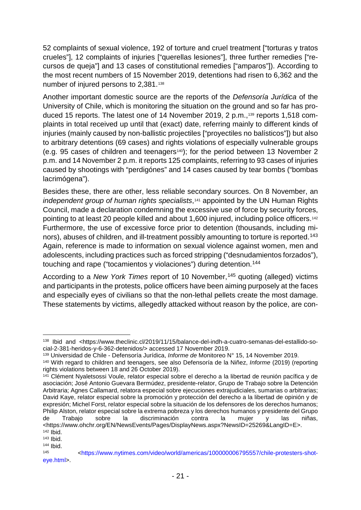<span id="page-22-8"></span>52 complaints of sexual violence, 192 of torture and cruel treatment ["torturas y tratos crueles"], 12 complaints of injuries ["querellas lesiones"], three further remedies ["recursos de queja"] and 13 cases of constitutional remedies ["amparos"]). According to the most recent numbers of 15 November 2019, detentions had risen to 6,362 and the number of injured persons to 2,381.[138](#page-22-0)

Another important domestic source are the reports of the *Defensoría Jurídica* of the University of Chile, which is monitoring the situation on the ground and so far has produced 15 reports. The latest one of 14 November 2019, 2 p.m.,<sup>139</sup> reports 1,518 complaints in total received up until that (exact) date, referring mainly to different kinds of injuries (mainly caused by non-ballistic projectiles ["proyectiles no balísticos"]) but also to arbitrary detentions (69 cases) and rights violations of especially vulnerable groups (e.g. 95 cases of children and teenagers<sup>140</sup>); for the period between 13 November 2 p.m. and 14 November 2 p.m. it reports 125 complaints, referring to 93 cases of injuries caused by shootings with "perdigónes" and 14 cases caused by tear bombs ("bombas lacrimógena").

Besides these, there are other, less reliable secondary sources. On 8 November, an *independent group of human rights specialists*,[141](#page-22-3) appointed by the UN Human Rights Council, made a declaration condemning the excessive use of force by security forces, pointing to at least 20 people killed and about 1,600 injured, including police officers[.142](#page-22-4) Furthermore, the use of excessive force prior to detention (thousands, including mi-nors), abuses of children, and ill-treatment possibly amounting to torture is reported.<sup>[143](#page-22-5)</sup> Again, reference is made to information on sexual violence against women, men and adolescents, including practices such as forced stripping ("desnudamientos forzados"), touching and rape ("tocamientos y violaciones") during detention.[144](#page-22-6)

According to a *New York Times* report of 10 November, [145](#page-22-7) quoting (alleged) victims and participants in the protests, police officers have been aiming purposely at the faces and especially eyes of civilians so that the non-lethal pellets create the most damage. These statements by victims, allegedly attacked without reason by the police, are con-

<span id="page-22-0"></span> <sup>138</sup> Ibid and <https://www.theclinic.cl/2019/11/15/balance-del-indh-a-cuatro-semanas-del-estallido-social-2-381-heridos-y-6-362-detenidos/> accessed 17 November 2019.<br><sup>139</sup> Universidad de Chile - Defensoría Jurídica, *Informe de* Monitoreo N° 15, 14 November 2019.

<span id="page-22-1"></span>

<span id="page-22-2"></span><sup>&</sup>lt;sup>140</sup> With regard to children and teenagers, see also Defensoría de la Niñez, *Informe* (2019) (reporting rights violations between 18 and 26 October 2019).

<span id="page-22-3"></span><sup>&</sup>lt;sup>141</sup> Clément Nyaletsossi Voule, relator especial sobre el derecho a la libertad de reunión pacífica y de asociación; José Antonio Guevara Bermúdez, presidente-relator, Grupo de Trabajo sobre la Detención Arbitraria; Agnes Callamard, relatora especial sobre ejecuciones extrajudiciales, sumarias o arbitrarias; David Kaye, relator especial sobre la promoción y protección del derecho a la libertad de opinión y de expresión; Michel Forst, relator especial sobre la situación de los defensores de los derechos humanos; Philip Alston, relator especial sobre la extrema pobreza y los derechos humanos y presidente del Grupo de Trabajo sobre la discriminación contra la mujer y las niñas, <https://www.ohchr.org/EN/NewsEvents/Pages/DisplayNews.aspx?NewsID=25269&LangID=E>.  $142$  Ibid.

<span id="page-22-5"></span><span id="page-22-4"></span> $143$  Ibid.<br> $144$  Ibid.

<span id="page-22-7"></span><span id="page-22-6"></span><sup>145</sup> [<https://www.nytimes.com/video/world/americas/100000006795557/chile-protesters-shot](https://www.nytimes.com/video/world/americas/100000006795557/chile-protesters-shot-eye.html)[eye.html>](https://www.nytimes.com/video/world/americas/100000006795557/chile-protesters-shot-eye.html).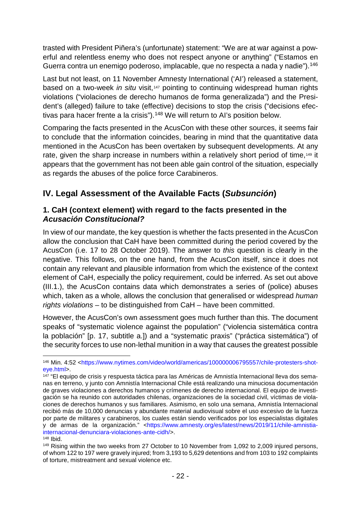trasted with President Piñera's (unfortunate) statement: "We are at war against a powerful and relentless enemy who does not respect anyone or anything" ("Estamos en Guerra contra un enemigo poderoso, implacable, que no respecta a nada y nadie").[146](#page-23-2)

Last but not least, on 11 November Amnesty International ('AI') released a statement, based on a two-week *in situ* visit,<sup>[147](#page-23-3)</sup> pointing to continuing widespread human rights violations ("violaciones de derecho humanos de forma generalizada") and the President's (alleged) failure to take (effective) decisions to stop the crisis ("decisions efec-tivas para hacer frente a la crisis").<sup>[148](#page-23-4)</sup> We will return to AI's position below.

Comparing the facts presented in the AcusCon with these other sources, it seems fair to conclude that the information coincides, bearing in mind that the quantitative data mentioned in the AcusCon has been overtaken by subsequent developments. At any rate, given the sharp increase in numbers within a relatively short period of time,<sup>149</sup> it appears that the government has not been able gain control of the situation, especially as regards the abuses of the police force Carabineros.

# <span id="page-23-0"></span>**IV. Legal Assessment of the Available Facts (***Subsunción***)**

### <span id="page-23-1"></span>**1. CaH (context element) with regard to the facts presented in the** *Acusación Constitucional?*

In view of our mandate, the key question is whether the facts presented in the AcusCon allow the conclusion that CaH have been committed during the period covered by the AcusCon (i.e. 17 to 28 October 2019). The answer to *this* question is clearly in the negative. This follows, on the one hand, from the AcusCon itself, since it does not contain any relevant and plausible information from which the existence of the context element of CaH, especially the policy requirement, could be inferred. As set out above (III.1.), the AcusCon contains data which demonstrates a series of (police) abuses which, taken as a whole, allows the conclusion that generalised or widespread *human rights violations* – to be distinguished from CaH – have been committed.

However, the AcusCon's own assessment goes much further than this. The document speaks of "systematic violence against the population" ("violencia sistemática contra la población" [p. 17, subtitle a.]) and a "systematic praxis" ("práctica sistemática") of the security forces to use non-lethal munition in a way that causes the greatest possible

<span id="page-23-2"></span><sup>&</sup>lt;sup>146</sup> Min. 4:52 <https://www.nytimes.com/video/world/americas/100000006795557/chile-protesters-shot-<br>eye.html>.

<span id="page-23-3"></span><sup>&</sup>lt;sup>147</sup> "El equipo de crisis y respuesta táctica para las Américas de Amnistía Internacional lleva dos semanas en terreno, y junto con Amnistía Internacional Chile está realizando una minuciosa documentación de graves violaciones a derechos humanos y crímenes de derecho internacional. El equipo de investigación se ha reunido con autoridades chilenas, organizaciones de la sociedad civil, víctimas de violaciones de derechos humanos y sus familiares. Asimismo, en solo una semana, Amnistía Internacional recibió más de 10,000 denuncias y abundante material audiovisual sobre el uso excesivo de la fuerza por parte de militares y carabineros, los cuales están siendo verificados por los especialistas digitales y de armas de la organización." [<https://www.amnesty.org/es/latest/news/2019/11/chile-amnistia](https://www.amnesty.org/es/latest/news/2019/11/chile-amnistia-internacional-denunciara-violaciones-ante-cidh/)[internacional-denunciara-violaciones-ante-cidh/>](https://www.amnesty.org/es/latest/news/2019/11/chile-amnistia-internacional-denunciara-violaciones-ante-cidh/).

<span id="page-23-5"></span><span id="page-23-4"></span><sup>&</sup>lt;sup>148</sup> Ibid.<br><sup>149</sup> Rising within the two weeks from 27 October to 10 November from 1,092 to 2,009 injured persons, of whom 122 to 197 were gravely injured; from 3,193 to 5,629 detentions and from 103 to 192 complaints of torture, mistreatment and sexual violence etc.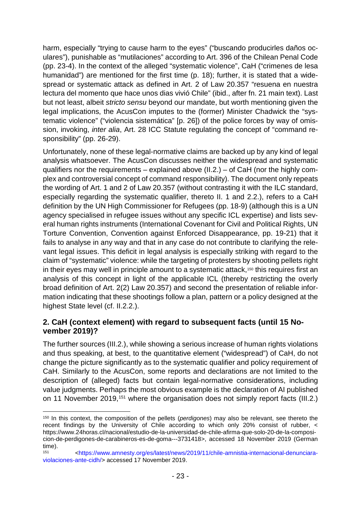harm, especially "trying to cause harm to the eyes" ("buscando producirles daños oculares"), punishable as "mutilaciones" according to Art. 396 of the Chilean Penal Code (pp. 23-4). In the context of the alleged "systematic violence", CaH ("crimenes de lesa humanidad") are mentioned for the first time (p. 18); further, it is stated that a widespread or systematic attack as defined in Art. 2 of Law 20.357 "resuena en nuestra lectura del momento que hace unos dias vivió Chile" (ibid., after fn. 21 main text). Last but not least, albeit *stricto sensu* beyond our mandate, but worth mentioning given the legal implications, the AcusCon imputes to the (former) Minister Chadwick the "systematic violence" ("violencia sistemática" [p. 26]) of the police forces by way of omission, invoking, *inter alia*, Art. 28 ICC Statute regulating the concept of "command responsibility" (pp. 26-29).

Unfortunately, none of these legal-normative claims are backed up by any kind of legal analysis whatsoever. The AcusCon discusses neither the widespread and systematic qualifiers nor the requirements – explained above (II.2.) – of CaH (nor the highly complex and controversial concept of command responsibility). The document only repeats the wording of Art. 1 and 2 of Law 20.357 (without contrasting it with the ILC standard, especially regarding the systematic qualifier, thereto II. 1 and 2.2.), refers to a CaH definition by the UN High Commissioner for Refugees (pp. 18-9) (although this is a UN agency specialised in refugee issues without any specific ICL expertise) and lists several human rights instruments (International Covenant for Civil and Political Rights, UN Torture Convention, Convention against Enforced Disappearance, pp. 19-21) that it fails to analyse in any way and that in any case do not contribute to clarifying the relevant legal issues. This deficit in legal analysis is especially striking with regard to the claim of "systematic" violence: while the targeting of protesters by shooting pellets right in their eyes may well in principle amount to a systematic attack,<sup>[150](#page-24-1)</sup> this requires first an analysis of this concept in light of the applicable ICL (thereby restricting the overly broad definition of Art. 2(2) Law 20.357) and second the presentation of reliable information indicating that these shootings follow a plan, pattern or a policy designed at the highest State level (cf. II.2.2.).

### <span id="page-24-0"></span>**2. CaH (context element) with regard to subsequent facts (until 15 November 2019)?**

The further sources (III.2.), while showing a serious increase of human rights violations and thus speaking, at best, to the quantitative element ("widespread") of CaH, do not change the picture significantly as to the systematic qualifier and policy requirement of CaH. Similarly to the AcusCon, some reports and declarations are not limited to the description of (alleged) facts but contain legal-normative considerations, including value judgments. Perhaps the most obvious example is the declaration of AI published on 11 November 2019,<sup>[151](#page-24-2)</sup> where the organisation does not simply report facts (III.2.)

<span id="page-24-1"></span> <sup>150</sup> In this context, the composition of the pellets (*perdigones*) may also be relevant, see thereto the recent findings by the University of Chile according to which only 20% consist of rubber, < https://www.24horas.cl/nacional/estudio-de-la-universidad-de-chile-afirma-que-solo-20-de-la-composicion-de-perdigones-de-carabineros-es-de-goma---3731418>, accessed 18 November 2019 (German time).

<span id="page-24-2"></span><sup>151</sup> [<https://www.amnesty.org/es/latest/news/2019/11/chile-amnistia-internacional-denunciara](https://www.amnesty.org/es/latest/news/2019/11/chile-amnistia-internacional-denunciara-violaciones-ante-cidh/)[violaciones-ante-cidh/>](https://www.amnesty.org/es/latest/news/2019/11/chile-amnistia-internacional-denunciara-violaciones-ante-cidh/) accessed 17 November 2019.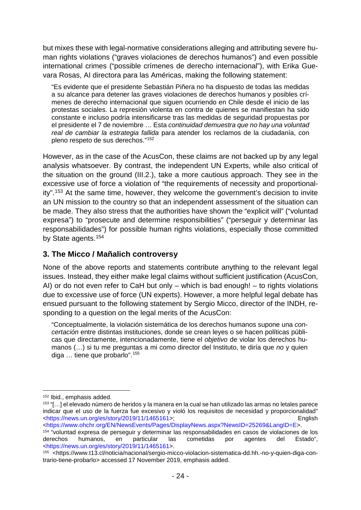but mixes these with legal-normative considerations alleging and attributing severe human rights violations ("graves violaciones de derechos humanos") and even possible international crimes ("possible crímenes de derecho internacional"), with Erika Guevara Rosas, AI directora para las Américas, making the following statement:

"Es evidente que el presidente Sebastián Piñera no ha dispuesto de todas las medidas a su alcance para detener las graves violaciones de derechos humanos y posibles crímenes de derecho internacional que siguen ocurriendo en Chile desde el inicio de las protestas sociales. La represión violenta en contra de quienes se manifiestan ha sido constante e incluso podría intensificarse tras las medidas de seguridad propuestas por el presidente el 7 de noviembre … Esta *continuidad demuestra que no hay una voluntad real de cambiar la estrategia fallida* para atender los reclamos de la ciudadanía, con pleno respeto de sus derechos."[152](#page-25-1)

<span id="page-25-5"></span>However, as in the case of the AcusCon, these claims are not backed up by any legal analysis whatsoever. By contrast, the independent UN Experts, while also critical of the situation on the ground (III.2.), take a more cautious approach. They see in the excessive use of force a violation of "the requirements of necessity and proportionality".[153](#page-25-2) At the same time, however, they welcome the government's decision to invite an UN mission to the country so that an independent assessment of the situation can be made. They also stress that the authorities have shown the "explicit will" ("voluntad expresa") to "prosecute and determine responsibilities" ("perseguir y determinar las responsabilidades") for possible human rights violations, especially those committed by State agents. [154](#page-25-3)

### <span id="page-25-0"></span>**3. The Micco / Mañalich controversy**

None of the above reports and statements contribute anything to the relevant legal issues. Instead, they either make legal claims without sufficient justification (AcusCon, AI) or do not even refer to CaH but only – which is bad enough! – to rights violations due to excessive use of force (UN experts). However, a more helpful legal debate has ensued pursuant to the following statement by Sergio Micco, director of the INDH, responding to a question on the legal merits of the AcusCon:

"Conceptualmente, la violación sistemática de los derechos humanos supone una *concertación* entre distintas instituciones, donde se crean leyes o se hacen políticas públicas que directamente, intencionadamente, tiene el *objetivo* de violar los derechos humanos (…) si tu me preguntas a mi como director del Instituto, te diría que *no* y quien diga … tiene que probarlo".[155](#page-25-4)

<span id="page-25-1"></span> <sup>152</sup> Ibid., emphasis added.

<span id="page-25-2"></span><sup>153</sup> "[…] el elevado número de heridos y la manera en la cual se han utilizado las armas no letales parece indicar que el uso de la fuerza fue excesivo y violó los requisitos de necesidad y proporcionalidad" [<https://news.un.org/es/story/2019/11/1465161>](https://news.un.org/es/story/2019/11/1465161); English

<span id="page-25-3"></span><sup>&</sup>lt;sup>154</sup> "voluntad expresa de perseguir y determinar las responsabilidades en casos de violaciones de los derechos humanos, en particular las cometidas por agentes del Estado", derechos humanos, en particular las cometidas por agentes del Estado", [<https://news.un.org/es/story/2019/11/1465161>](https://news.un.org/es/story/2019/11/1465161).

<span id="page-25-4"></span><sup>155</sup> <https://www.t13.cl/noticia/nacional/sergio-micco-violacion-sistematica-dd.hh.-no-y-quien-diga-contrario-tiene-probarlo> accessed 17 November 2019, emphasis added.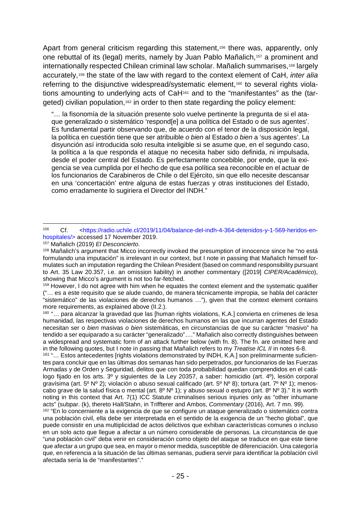<span id="page-26-0"></span>Apart from general criticism regarding this statement,<sup>[156](#page-26-1)</sup> there was, apparently, only one rebuttal of its (legal) merits, namely by Juan Pablo Mañalich,[157](#page-26-2) a prominent and internationally respected Chilean criminal law scholar. Mañalich summarises,<sup>[158](#page-26-3)</sup> largely accurately,[159](#page-26-4) the state of the law with regard to the context element of CaH, *inter alia* referring to the disjunctive widespread/systematic element,<sup>[160](#page-26-5)</sup> to several rights violations amounting to underlying acts of CaH[161](#page-26-6) and to the "manifestantes" as the (tar-geted) civilian population,<sup>[162](#page-26-7)</sup> in order to then state regarding the policy element:

"… la fisonomía de la situación presente solo vuelve pertinente la pregunta de si el ataque generalizado o sistemático 'respond[e] a una política del Estado o de sus agentes'. Es fundamental partir observando que, de acuerdo con el tenor de la disposición legal, la política en cuestión tiene que ser atribuible *o bien* al Estado *o bien* a 'sus agentes'. La disyunción así introducida solo resulta inteligible si se asume que, en el segundo caso, la política a la que responda el ataque no necesita haber sido definida, ni impulsada, desde el poder central del Estado. Es perfectamente concebible, por ende, que la exigencia se vea cumplida por el hecho de que esa política sea reconocible en el actuar de los funcionarios de Carabineros de Chile o del Ejército, sin que ello necesite descansar en una 'concertación' entre alguna de estas fuerzas y otras instituciones del Estado, como erradamente lo sugiriera el Director del INDH."

<span id="page-26-4"></span>("… es a este requisito que se alude cuando, de manera técnicamente impropia, se habla del carácter "sistemático" de las violaciones de derechos humanos …"), given that the context element contains more requirements, as explained above (II.2.).

<span id="page-26-5"></span><sup>160</sup> "… para alcanzar la gravedad que las [human rights violations, K.A.] convierta en crímenes de lesa humanidad, las respectivas violaciones de derechos humanos en las que incurran agentes del Estado necesitan ser *o bien* masivas *o bien* sistemáticas, en circunstancias de que su carácter "masivo" ha tendido a ser equiparado a su carácter "generalizado"…." Mañalich also correctly distinguishes between a widespread and systematic form of an attack further below (with fn. 8). The fn. are omitted here and in the following quotes, but I note in passing that Mañalich refers to my *Treatise ICL II* in notes 6-8.

<span id="page-26-6"></span><sup>161</sup> "… Estos antecedentes [rights violations demonstrated by INDH, K.A.] son preliminarmente suficientes para concluir que en las últimas dos semanas han sido perpetrados, por funcionarios de las Fuerzas Armadas y de Orden y Seguridad, delitos que con toda probabilidad quedan comprendidos en el catálogo fijado en los arts. 3º y siguientes de la Ley 20357, a saber: homicidio (art. 4º), lesión corporal gravísima (art. 5º Nº 2); violación o abuso sexual calificado (art. 5º Nº 8); tortura (art. 7º Nº 1); menoscabo grave de la salud física o mental (art. 8º Nº 1); y abuso sexual o estupro (art. 8º Nº 3)." It is worth noting in this context that Art. 7(1) ICC Statute criminalises serious injuries only as "other inhumane acts" (subpar. (k), thereto Hall/Stahn, in Triffterer and Ambos, Commentary (2016), Art. 7 mn. 99).

<span id="page-26-7"></span><sup>162</sup> "En lo concerniente a la exigencia de que se configure un ataque generalizado o sistemático contra una población civil, ella debe ser interpretada en el sentido de la exigencia de un "hecho global", que puede consistir en una multiplicidad de actos delictivos que exhiban características comunes o incluso en un solo acto que llegue a afectar a un número considerable de personas. La circunstancia de que "*una* población civil" deba venir en consideración como objeto del ataque se traduce en que este tiene que afectar a un grupo que sea, en mayor o menor medida, susceptible de diferenciación. Una categoría que, en referencia a la situación de las últimas semanas, pudiera servir para identificar la población civil afectada sería la de "manifestantes"."

<span id="page-26-1"></span> <sup>156</sup> Cf. [<https://radio.uchile.cl/2019/11/04/balance-del-indh-4-364-detenidos-y-1-569-heridos-en](https://radio.uchile.cl/2019/11/04/balance-del-indh-4-364-detenidos-y-1-569-heridos-en-hospitales/)[hospitales/>](https://radio.uchile.cl/2019/11/04/balance-del-indh-4-364-detenidos-y-1-569-heridos-en-hospitales/) accessed 17 November 2019.

<sup>157</sup> Mañalich (2019) *El Desconcierto*.

<span id="page-26-3"></span><span id="page-26-2"></span><sup>158</sup> Mañalich's argument that Micco incorrectly invoked the presumption of innocence since he "no está formulando una imputación" is irrelevant in our context, but I note in passing that Mañalich himself formulates such an imputation regarding the Chilean President (based on command responsibility pursuant to Art. 35 Law 20.357, i.e. an omission liability) in another commentary ([2019] *CIPER/Académico*), showing that Micco's argument is not too far-fetched.<br><sup>159</sup> However, I do not agree with him when he equates the context element and the systematic qualifier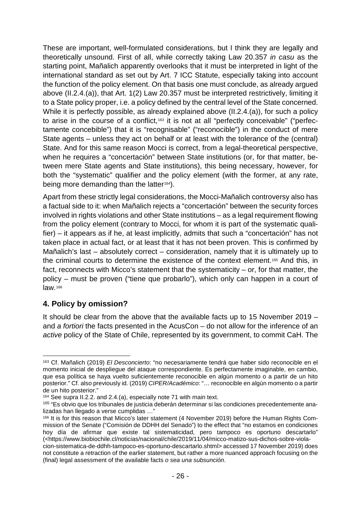These are important, well-formulated considerations, but I think they are legally and theoretically unsound. First of all, while correctly taking Law 20.357 *in casu* as the starting point, Mañalich apparently overlooks that it must be interpreted in light of the international standard as set out by Art. 7 ICC Statute, especially taking into account the function of the policy element. On that basis one must conclude, as already argued above (II.2.4.(a)), that Art. 1(2) Law 20.357 must be interpreted restrictively, limiting it to a State policy proper, i.e. a policy defined by the central level of the State concerned. While it is perfectly possible, as already explained above (II.2.4.(a)), for such a policy to arise in the course of a conflict,[163](#page-27-0) it is not at all "perfectly conceivable" ("perfectamente concebible") that it is "recognisable" ("reconocible") in the conduct of mere State agents – unless they act on behalf or at least with the tolerance of the (central) State. And for this same reason Mocci is correct, from a legal-theoretical perspective, when he requires a "concertación" between State institutions (or, for that matter, between mere State agents and State institutions), this being necessary, however, for both the "systematic" qualifier and the policy element (with the former, at any rate, being more demanding than the latter<sup>164</sup>).

Apart from these strictly legal considerations, the Mocci-Mañalich controversy also has a factual side to it: when Mañalich rejects a "concertación" between the security forces involved in rights violations and other State institutions – as a legal requirement flowing from the policy element (contrary to Mocci, for whom it is part of the systematic qualifier) – it appears as if he, at least implicitly, admits that such a "concertación" has not taken place in actual fact, or at least that it has not been proven. This is confirmed by Mañalich's last – absolutely correct – consideration, namely that it is ultimately up to the criminal courts to determine the existence of the context element[.165](#page-27-2) And this, in fact, reconnects with Micco's statement that the systematicity – or, for that matter, the policy – must be proven ("tiene que probarlo"), which only can happen in a court of law.[166](#page-27-3)

# **4. Policy by omission?**

It should be clear from the above that the available facts up to 15 November 2019 – and *a fortiori* the facts presented in the AcusCon – do not allow for the inference of an *active* policy of the State of Chile, represented by its government, to commit CaH. The

<span id="page-27-0"></span> <sup>163</sup> Cf. Mañalich (2019) *El Desconcierto*: "no necesariamente tendrá que haber sido reconocible en el momento inicial de despliegue del ataque correspondiente. Es perfectamente imaginable, en cambio, que esa política se haya vuelto suficientemente reconocible en algún momento o a partir de un hito posterior." Cf. also previously id. (2019) *CIPER/Académico*: "… reconocible en algún momento o a partir de un hito posterior."

<span id="page-27-1"></span><sup>164</sup> See supra II.2.2. and 2.4.(a), especially note [71](#page-13-9) with main text.

<span id="page-27-2"></span><sup>165</sup> "Es obvio que los tribunales de justicia deberán determinar si las condiciones precedentemente analizadas han llegado a verse cumplidas …"

<span id="page-27-3"></span><sup>&</sup>lt;sup>166</sup> It is for this reason that Micco's later statement (4 November 2019) before the Human Rights Commission of the Senate ("Comisión de DDHH del Senado") to the effect that "no estamos en condiciones hoy día de afirmar que existe tal sistematicidad, pero tampoco es oportuno descartarlo" (<https://www.biobiochile.cl/noticias/nacional/chile/2019/11/04/micco-matizo-sus-dichos-sobre-violacion-sistematica-de-ddhh-tampoco-es-oportuno-descartarlo.shtml> accessed 17 November 2019) does not constitute a retraction of the earlier statement, but rather a more nuanced approach focusing on the (final) legal assessment of the available facts *o sea una subsunción*.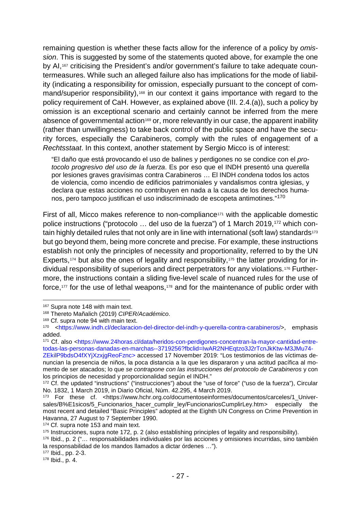remaining question is whether these facts allow for the inference of a policy by *omission*. This is suggested by some of the statements quoted above, for example the one by AI,[167](#page-28-1) criticising the President's and/or government's failure to take adequate countermeasures. While such an alleged failure also has implications for the mode of liability (indicating a responsibility for omission, especially pursuant to the concept of command/superior responsibility),[168](#page-28-2) in our context it gains importance with regard to the policy requirement of CaH. However, as explained above (III. 2.4.(a)), such a policy by omission is an exceptional scenario and certainly cannot be inferred from the mere absence of governmental action<sup>[169](#page-28-3)</sup> or, more relevantly in our case, the apparent inability (rather than unwillingness) to take back control of the public space and have the security forces, especially the Carabineros, comply with the rules of engagement of a *Rechtsstaat*. In this context, another statement by Sergio Micco is of interest:

<span id="page-28-0"></span>"El daño que está provocando el uso de balines y perdigones no se condice con el *protocolo progresivo del uso de la fuerza*. Es por eso que el INDH presentó una *querella* por lesiones graves gravísimas contra Carabineros … El INDH *condena* todos los actos de violencia, como incendio de edificios patrimoniales y vandalismos contra iglesias, y declara que estas acciones no contribuyen en nada a la causa de los derechos humanos, pero tampoco justifican el uso indiscriminado de escopeta antimotines."[170](#page-28-4)

First of all, Micco makes reference to non-compliance<sup>[171](#page-28-5)</sup> with the applicable domestic police instructions ("protocolo … del uso de la fuerza") of 1 March 2019, [172](#page-28-6) which con-tain highly detailed rules that not only are in line with international (soft law) standards<sup>[173](#page-28-7)</sup> but go beyond them, being more concrete and precise. For example, these instructions establish not only the principles of necessity and proportionality, referred to by the UN Experts,<sup>[174](#page-28-8)</sup> but also the ones of legality and responsibility,<sup>[175](#page-28-9)</sup> the latter providing for individual responsibility of superiors and direct perpetrators for any violations.[176](#page-28-10) Furthermore, the instructions contain a sliding five-level scale of nuanced rules for the use of force,<sup>[177](#page-28-11)</sup> for the use of lethal weapons,<sup>178</sup> and for the maintenance of public order with

<span id="page-28-1"></span><sup>&</sup>lt;sup>167</sup> Supra note [148](#page-22-8) with main text.

<span id="page-28-2"></span><sup>168</sup> Thereto Mañalich (2019) *CIPER/Académico*.

<span id="page-28-3"></span><sup>169</sup> Cf. supra note [94](#page-15-11) with main text.

<span id="page-28-4"></span><sup>170</sup> [<https://www.indh.cl/declaracion-del-director-del-indh-y-querella-contra-carabineros/>](https://www.indh.cl/declaracion-del-director-del-indh-y-querella-contra-carabineros/), emphasis added.

<span id="page-28-5"></span><sup>171</sup> Cf. also [<https://www.24horas.cl/data/heridos-con-perdigones-concentran-la-mayor-cantidad-entre](https://www.24horas.cl/data/heridos-con-perdigones-concentran-la-mayor-cantidad-entre-todas-las-personas-danadas-en-marchas--3719256?fbclid=IwAR2NHEqtzo3J2rTcnJkKtw-M3JMu74-ZEkilP9bdsO4fXYjXzxjgReoFznc)[todas-las-personas-danadas-en-marchas--3719256?fbclid=IwAR2NHEqtzo3J2rTcnJkKtw-M3JMu74-](https://www.24horas.cl/data/heridos-con-perdigones-concentran-la-mayor-cantidad-entre-todas-las-personas-danadas-en-marchas--3719256?fbclid=IwAR2NHEqtzo3J2rTcnJkKtw-M3JMu74-ZEkilP9bdsO4fXYjXzxjgReoFznc)

[ZEkilP9bdsO4fXYjXzxjgReoFznc>](https://www.24horas.cl/data/heridos-con-perdigones-concentran-la-mayor-cantidad-entre-todas-las-personas-danadas-en-marchas--3719256?fbclid=IwAR2NHEqtzo3J2rTcnJkKtw-M3JMu74-ZEkilP9bdsO4fXYjXzxjgReoFznc) accessed 17 November 2019: "Los testimonios de las víctimas denuncian la presencia de niños, la poca distancia a la que les dispararon y una actitud pacífica al momento de ser atacados; lo que *se contrapone con las instrucciones del protocolo de Carabineros* y con los principios de necesidad y proporcionalidad según el INDH."

<span id="page-28-6"></span><sup>172</sup> Cf. the updated "instructions" ("instrucciones") about the "use of force" ("uso de la fuerza"), Circular No. 1832, 1 March 2019, in Diario Oficial, Núm. 42.295, 4 March 2019.

<span id="page-28-7"></span><sup>173</sup> For these cf. <https://www.hchr.org.co/documentoseinformes/documentos/carceles/1\_Universales/B%E1sicos/5\_Funcionarios\_hacer\_cumplir\_ley/FuncionariosCumplirLey.htm> especially the most recent and detailed "Basic Principles" adopted at the Eighth UN Congress on Crime Prevention in Havanna, 27 August to 7 September 1990.

<span id="page-28-8"></span><sup>174</sup> Cf. supra note [153](#page-25-5) and main text.

<span id="page-28-9"></span><sup>&</sup>lt;sup>175</sup> Instrucciones, supra note [172,](#page-28-0) p. 2 (also establishing principles of legality and responsibility).

<span id="page-28-10"></span><sup>176</sup> Ibid., p. 2 ("… responsabilidades individuales por las acciones y omisiones incurridas, sino también la responsabilidad de los mandos llamados a dictar órdenes …").

<span id="page-28-11"></span><sup>177</sup> Ibid., pp. 2-3.

<span id="page-28-12"></span> $178$  Ibid., p. 4.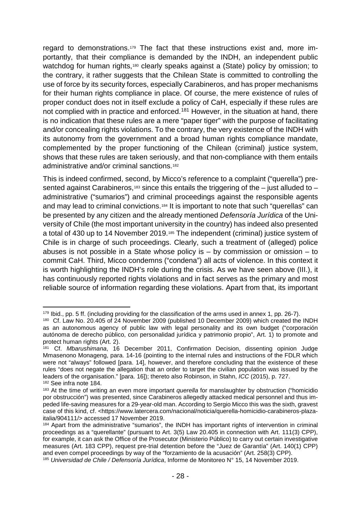regard to demonstrations.[179](#page-29-1) The fact that these instructions exist and, more importantly, that their compliance is demanded by the INDH, an independent public watchdog for human rights,<sup>[180](#page-29-2)</sup> clearly speaks against a (State) policy by omission; to the contrary, it rather suggests that the Chilean State is committed to controlling the use of force by its security forces, especially Carabineros, and has proper mechanisms for their human rights compliance in place. Of course, the mere existence of rules of proper conduct does not in itself exclude a policy of CaH, especially if these rules are not complied with in practice and enforced.<sup>[181](#page-29-3)</sup> However, in the situation at hand, there is no indication that these rules are a mere "paper tiger" with the purpose of facilitating and/or concealing rights violations. To the contrary, the very existence of the INDH with its autonomy from the government and a broad human rights compliance mandate, complemented by the proper functioning of the Chilean (criminal) justice system, shows that these rules are taken seriously, and that non-compliance with them entails administrative and/or criminal sanctions.[182](#page-29-4)

<span id="page-29-0"></span>This is indeed confirmed, second, by Micco's reference to a complaint ("querella") pre-sented against Carabineros,<sup>[183](#page-29-5)</sup> since this entails the triggering of the  $-$  just alluded to  $$ administrative ("sumarios") and criminal proceedings against the responsible agents and may lead to criminal convictions.<sup>[184](#page-29-6)</sup> It is important to note that such "querellas" can be presented by any citizen and the already mentioned *Defensoría Jurídica* of the University of Chile (the most important university in the country) has indeed also presented a total of 430 up to 14 November 2019.<sup>[185](#page-29-7)</sup> The independent (criminal) justice system of Chile is in charge of such proceedings. Clearly, such a treatment of (alleged) police abuses is not possible in a State whose policy is  $-$  by commission or omission  $-$  to commit CaH. Third, Micco condemns ("condena") all acts of violence. In this context it is worth highlighting the INDH's role during the crisis. As we have seen above (III.), it has continuously reported rights violations and in fact serves as the primary and most reliable source of information regarding these violations. Apart from that, its important

<span id="page-29-2"></span><span id="page-29-1"></span><sup>&</sup>lt;sup>179</sup> Ibid., pp. 5 ff. (including providing for the classification of the arms used in annex 1, pp. 26-7).<br><sup>180</sup> Cf. Law No. 20.405 of 24 November 2009 (published 10 December 2009) which created the INDH as an autonomous agency of public law with legal personality and its own budget ("corporación autónoma de derecho público, con personalidad jurídica y patrimonio propio", Art. 1) to promote and protect human rights (Art. 2).

<span id="page-29-3"></span><sup>181</sup> Cf. *Mbarushimana*, 16 December 2011, Confirmation Decision, dissenting opinion Judge Mmasenono Monageng, para. 14-16 (pointing to the internal rules and instructions of the FDLR which were not "always" followed [para. 14], however, and therefore concluding that the existence of these rules "does not negate the allegation that an order to target the civilian population was issued by the leaders of the organisation." [para. 16]); thereto also Robinson, in Stahn, *ICC* (2015), p. 727. <sup>182</sup> See infra note [184.](#page-29-0)

<span id="page-29-5"></span><span id="page-29-4"></span><sup>183</sup> At the time of writing an even more important *querella* for manslaughter by obstruction ("homicidio por obstrucción") was presented, since Carabineros allegedly attacked medical personnel and thus impeded life-saving measures for a 29-year-old man. According to Sergio Micco this was the sixth, gravest case of this kind, cf. <https://www.latercera.com/nacional/noticia/querella-homicidio-carabineros-plazaitalia/904111/> accessed 17 November 2019.

<span id="page-29-6"></span><sup>184</sup> Apart from the administrative "sumarios", the INDH has important rights of intervention in criminal proceedings as a "querellante" (pursuant to Art. 3(5) Law 20.405 in connection with Art. 111(3) CPP), for example, it can ask the Office of the Prosecutor (Ministerio Público) to carry out certain investigative measures (Art. 183 CPP), request pre-trial detention before the "Juez de Garantía" (Art. 140(1) CPP) and even compel proceedings by way of the "forzamiento de la acusación" (Art. 258(3) CPP).

<span id="page-29-7"></span><sup>185</sup> *Universidad de Chile / Defensoría Jurídica*, Informe de Monitoreo N° 15, 14 November 2019.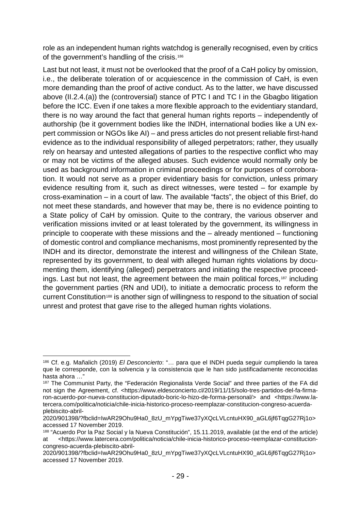role as an independent human rights watchdog is generally recognised, even by critics of the government's handling of the crisis.<sup>[186](#page-30-0)</sup>

Last but not least, it must not be overlooked that the proof of a CaH policy by omission, i.e., the deliberate toleration of or acquiescence in the commission of CaH, is even more demanding than the proof of active conduct. As to the latter, we have discussed above (II.2.4.(a)) the (controversial) stance of PTC I and TC I in the Gbagbo litigation before the ICC. Even if one takes a more flexible approach to the evidentiary standard, there is no way around the fact that general human rights reports – independently of authorship (be it government bodies like the INDH, international bodies like a UN expert commission or NGOs like AI) – and press articles do not present reliable first-hand evidence as to the individual responsibility of alleged perpetrators; rather, they usually rely on hearsay and untested allegations of parties to the respective conflict who may or may not be victims of the alleged abuses. Such evidence would normally only be used as background information in criminal proceedings or for purposes of corroboration. It would not serve as a proper evidentiary basis for conviction, unless primary evidence resulting from it, such as direct witnesses, were tested – for example by cross-examination – in a court of law. The available "facts", the object of this Brief, do not meet these standards, and however that may be, there is no evidence pointing to a State policy of CaH by omission. Quite to the contrary, the various observer and verification missions invited or at least tolerated by the government, its willingness in principle to cooperate with these missions and the – already mentioned – functioning of domestic control and compliance mechanisms, most prominently represented by the INDH and its director, demonstrate the interest and willingness of the Chilean State, represented by its government, to deal with alleged human rights violations by documenting them, identifying (alleged) perpetrators and initiating the respective proceedings. Last but not least, the agreement between the main political forces,[187](#page-30-1) including the government parties (RN and UDI), to initiate a democratic process to reform the current Constitution[188](#page-30-2) is another sign of willingness to respond to the situation of social unrest and protest that gave rise to the alleged human rights violations.

<span id="page-30-0"></span> <sup>186</sup> Cf. e.g. Mañalich (2019) *El Desconcierto*: "… para que el INDH pueda seguir cumpliendo la tarea que le corresponde, con la solvencia y la consistencia que le han sido justificadamente reconocidas hasta ahora …"

<span id="page-30-1"></span><sup>&</sup>lt;sup>187</sup> The Communist Party, the "Federación Regionalista Verde Social" and three parties of the FA did not sign the Agreement, cf. <https://www.eldesconcierto.cl/2019/11/15/solo-tres-partidos-del-fa-firmaron-acuerdo-por-nueva-constitucion-diputado-boric-lo-hizo-de-forma-personal/> and <https://www.latercera.com/politica/noticia/chile-inicia-historico-proceso-reemplazar-constitucion-congreso-acuerdaplebiscito-abril-

<sup>2020/901398/?</sup>fbclid=IwAR29Ohu9Ha0\_8zU\_mYpgTiwe37yXQcLVLcntuHX90\_aGL6jf6TqgG27Rj1o> accessed 17 November 2019.<br><sup>188</sup> "Acuerdo Por la Paz Social y la Nueva Constitución", 15.11.2019, available (at the end of the article)

<span id="page-30-2"></span>

at <https://www.latercera.com/politica/noticia/chile-inicia-historico-proceso-reemplazar-constitucioncongreso-acuerda-plebiscito-abril-

<sup>2020/901398/?</sup>fbclid=IwAR29Ohu9Ha0\_8zU\_mYpgTiwe37yXQcLVLcntuHX90\_aGL6jf6TqgG27Rj1o> accessed 17 November 2019.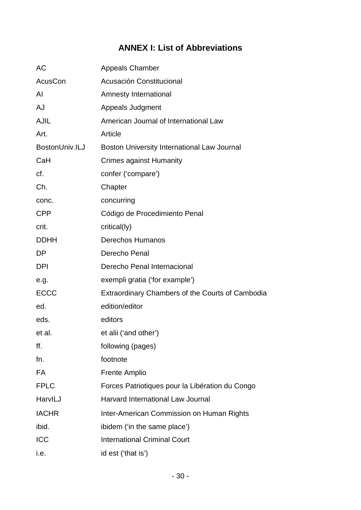# **ANNEX I: List of Abbreviations**

<span id="page-31-0"></span>

| AC             | <b>Appeals Chamber</b>                           |
|----------------|--------------------------------------------------|
| AcusCon        | Acusación Constitucional                         |
| AI             | <b>Amnesty International</b>                     |
| AJ             | Appeals Judgment                                 |
| <b>AJIL</b>    | American Journal of International Law            |
| Art.           | Article                                          |
| BostonUniv.ILJ | Boston University International Law Journal      |
| CaH            | <b>Crimes against Humanity</b>                   |
| cf.            | confer ('compare')                               |
| Ch.            | Chapter                                          |
| conc.          | concurring                                       |
| <b>CPP</b>     | Código de Procedimiento Penal                    |
| crit.          | critical(ly)                                     |
| <b>DDHH</b>    | <b>Derechos Humanos</b>                          |
| DP             | Derecho Penal                                    |
| <b>DPI</b>     | Derecho Penal Internacional                      |
| e.g.           | exempli gratia ('for example')                   |
| <b>ECCC</b>    | Extraordinary Chambers of the Courts of Cambodia |
| ed.            | edition/editor                                   |
| eds.           | editors                                          |
| et al.         | et alii ('and other')                            |
| ff.            | following (pages)                                |
| fn.            | footnote                                         |
| FA             | <b>Frente Amplio</b>                             |
| <b>FPLC</b>    | Forces Patriotiques pour la Libération du Congo  |
| HarvILJ        | <b>Harvard International Law Journal</b>         |
| <b>IACHR</b>   | Inter-American Commission on Human Rights        |
| ibid.          | ibidem ('in the same place')                     |
| <b>ICC</b>     | <b>International Criminal Court</b>              |
| i.e.           | id est ('that is')                               |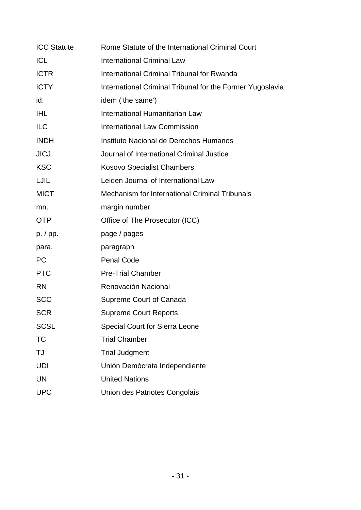| <b>ICC Statute</b> | Rome Statute of the International Criminal Court          |
|--------------------|-----------------------------------------------------------|
| <b>ICL</b>         | <b>International Criminal Law</b>                         |
| <b>ICTR</b>        | International Criminal Tribunal for Rwanda                |
| <b>ICTY</b>        | International Criminal Tribunal for the Former Yugoslavia |
| id.                | idem ('the same')                                         |
| <b>IHL</b>         | International Humanitarian Law                            |
| <b>ILC</b>         | <b>International Law Commission</b>                       |
| <b>INDH</b>        | Instituto Nacional de Derechos Humanos                    |
| <b>JICJ</b>        | Journal of International Criminal Justice                 |
| <b>KSC</b>         | <b>Kosovo Specialist Chambers</b>                         |
| LJIL               | Leiden Journal of International Law                       |
| <b>MICT</b>        | <b>Mechanism for International Criminal Tribunals</b>     |
| mn.                | margin number                                             |
| <b>OTP</b>         | Office of The Prosecutor (ICC)                            |
| p. / pp.           | page / pages                                              |
| para.              | paragraph                                                 |
| <b>PC</b>          | <b>Penal Code</b>                                         |
| <b>PTC</b>         | <b>Pre-Trial Chamber</b>                                  |
| <b>RN</b>          | Renovación Nacional                                       |
| <b>SCC</b>         | Supreme Court of Canada                                   |
| SCR                | <b>Supreme Court Reports</b>                              |
| <b>SCSL</b>        | <b>Special Court for Sierra Leone</b>                     |
| TC                 | <b>Trial Chamber</b>                                      |
| TJ                 | <b>Trial Judgment</b>                                     |
| UDI                | Unión Demócrata Independiente                             |
| <b>UN</b>          | <b>United Nations</b>                                     |
| <b>UPC</b>         | Union des Patriotes Congolais                             |
|                    |                                                           |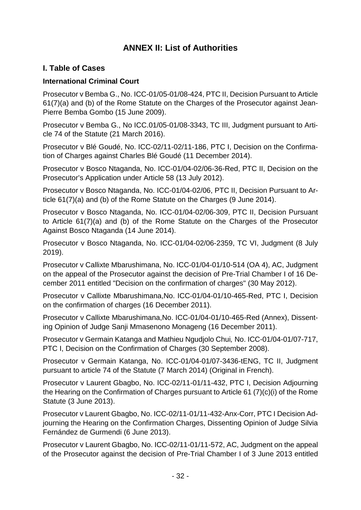# **ANNEX II: List of Authorities**

### <span id="page-33-1"></span><span id="page-33-0"></span>**I. Table of Cases**

#### **International Criminal Court**

Prosecutor v Bemba G., No. ICC-01/05-01/08-424, PTC II, Decision Pursuant to Article 61(7)(a) and (b) of the Rome Statute on the Charges of the Prosecutor against Jean-Pierre Bemba Gombo (15 June 2009).

Prosecutor v Bemba G., No ICC.01/05-01/08-3343, TC III, Judgment pursuant to Article 74 of the Statute (21 March 2016).

Prosecutor v Blé Goudé, No. ICC-02/11-02/11-186, PTC I, Decision on the Confirmation of Charges against Charles Blé Goudé (11 December 2014).

Prosecutor v Bosco Ntaganda, No. ICC-01/04-02/06-36-Red, PTC II, Decision on the Prosecutor's Application under Article 58 (13 July 2012).

Prosecutor v Bosco Ntaganda, No. ICC-01/04-02/06, PTC II, Decision Pursuant to Article 61(7)(a) and (b) of the Rome Statute on the Charges (9 June 2014).

Prosecutor v Bosco Ntaganda, No. ICC-01/04-02/06-309, PTC II, Decision Pursuant to Article 61(7)(a) and (b) of the Rome Statute on the Charges of the Prosecutor Against Bosco Ntaganda (14 June 2014).

Prosecutor v Bosco Ntaganda, No. ICC-01/04-02/06-2359, TC VI, Judgment (8 July 2019).

Prosecutor v Callixte Mbarushimana, No. ICC-01/04-01/10-514 (OA 4), AC, Judgment on the appeal of the Prosecutor against the decision of Pre-Trial Chamber I of 16 December 2011 entitled "Decision on the confirmation of charges" (30 May 2012).

Prosecutor v Callixte Mbarushimana,No. ICC-01/04-01/10-465-Red, PTC I, Decision on the confirmation of charges (16 December 2011).

Prosecutor v Callixte Mbarushimana,No. ICC-01/04-01/10-465-Red (Annex), Dissenting Opinion of Judge Sanji Mmasenono Monageng (16 December 2011).

Prosecutor v Germain Katanga and Mathieu Ngudjolo Chui*,* No. ICC-01/04-01/07-717, PTC I, Decision on the Confirmation of Charges (30 September 2008).

Prosecutor v Germain Katanga, No. ICC-01/04-01/07-3436-tENG, TC II, Judgment pursuant to article 74 of the Statute (7 March 2014) (Original in French).

Prosecutor v Laurent Gbagbo, No. ICC-02/11-01/11-432, PTC I, Decision Adjourning the Hearing on the Confirmation of Charges pursuant to Article 61 (7)(c)(i) of the Rome Statute (3 June 2013).

Prosecutor v Laurent Gbagbo, No. ICC-02/11-01/11-432-Anx-Corr, PTC I Decision Adjourning the Hearing on the Confirmation Charges, Dissenting Opinion of Judge Silvia Fernández de Gurmendi (6 June 2013).

Prosecutor v Laurent Gbagbo, No. ICC-02/11-01/11-572, AC, Judgment on the appeal of the Prosecutor against the decision of Pre-Trial Chamber I of 3 June 2013 entitled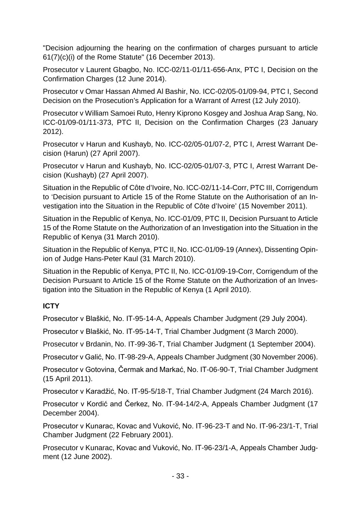"Decision adjourning the hearing on the confirmation of charges pursuant to article 61(7)(c)(i) of the Rome Statute" (16 December 2013).

Prosecutor v Laurent Gbagbo, No. ICC-02/11-01/11-656-Anx, PTC I, Decision on the Confirmation Charges (12 June 2014).

Prosecutor v Omar Hassan Ahmed Al Bashir, No. ICC-02/05-01/09-94, PTC I, Second Decision on the Prosecution's Application for a Warrant of Arrest (12 July 2010).

Prosecutor v William Samoei Ruto, Henry Kiprono Kosgey and Joshua Arap Sang, No. ICC-01/09-01/11-373, PTC II, Decision on the Confirmation Charges (23 January 2012).

Prosecutor v Harun and Kushayb, No. ICC-02/05-01/07-2, PTC I, Arrest Warrant Decision (Harun) (27 April 2007).

Prosecutor v Harun and Kushayb, No. ICC-02/05-01/07-3, PTC I, Arrest Warrant Decision (Kushayb) (27 April 2007).

Situation in the Republic of Côte d'Ivoire, No. ICC-02/11-14-Corr, PTC III, Corrigendum to 'Decision pursuant to Article 15 of the Rome Statute on the Authorisation of an Investigation into the Situation in the Republic of Côte d'Ivoire' (15 November 2011).

Situation in the Republic of Kenya, No. ICC-01/09, PTC II, Decision Pursuant to Article 15 of the Rome Statute on the Authorization of an Investigation into the Situation in the Republic of Kenya (31 March 2010).

Situation in the Republic of Kenya, PTC II, No. ICC-01/09-19 (Annex), Dissenting Opinion of Judge Hans-Peter Kaul (31 March 2010).

Situation in the Republic of Kenya, PTC II, No. ICC-01/09-19-Corr, Corrigendum of the Decision Pursuant to Article 15 of the Rome Statute on the Authorization of an Investigation into the Situation in the Republic of Kenya (1 April 2010).

### **ICTY**

Prosecutor v Blaškić, No. IT-95-14-A, Appeals Chamber Judgment (29 July 2004).

Prosecutor v Blaškić, No. IT-95-14-T, Trial Chamber Judgment (3 March 2000).

Prosecutor v Brdanin, No. IT-99-36-T, Trial Chamber Judgment (1 September 2004).

Prosecutor v Galić, No. IT-98-29-A, Appeals Chamber Judgment (30 November 2006).

Prosecutor v Gotovina, Čermak and Markać, No. IT-06-90-T, Trial Chamber Judgment (15 April 2011).

Prosecutor v Karadžić, No. IT-95-5/18-T, Trial Chamber Judgment (24 March 2016).

Prosecutor v Kordić and Čerkez, No. IT-94-14/2-A, Appeals Chamber Judgment (17 December 2004).

Prosecutor v Kunarac, Kovac and Vuković, No. IT-96-23-T and No. IT-96-23/1-T, Trial Chamber Judgment (22 February 2001).

Prosecutor v Kunarac, Kovac and Vuković, No. IT-96-23/1-A, Appeals Chamber Judgment (12 June 2002).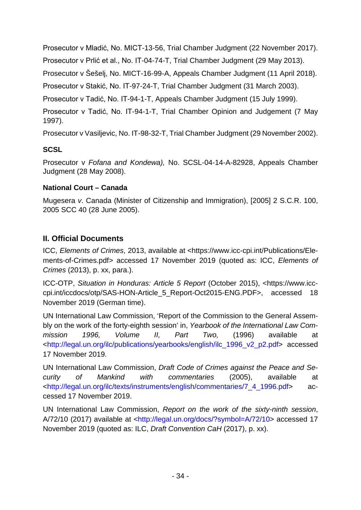Prosecutor v Mladić, No. MICT-13-56, Trial Chamber Judgment (22 November 2017).

Prosecutor v Prlić et al., No. IT-04-74-T, Trial Chamber Judgment (29 May 2013).

Prosecutor v Šešelj, No. MICT-16-99-A, Appeals Chamber Judgment (11 April 2018).

Prosecutor v Stakić, No. IT-97-24-T, Trial Chamber Judgment (31 March 2003).

Prosecutor v Tadić, No. IT-94-1-T, Appeals Chamber Judgment (15 July 1999).

Prosecutor v Tadić, No. IT-94-1-T, Trial Chamber Opinion and Judgement (7 May 1997).

Prosecutor v Vasiljevic, No. IT-98-32-T, Trial Chamber Judgment (29 November 2002).

### **SCSL**

Prosecutor v *Fofana and Kondewa),* No. SCSL-04-14-A-82928, Appeals Chamber Judgment (28 May 2008).

### **National Court – Canada**

Mugesera *v*. Canada (Minister of Citizenship and Immigration), [2005] 2 S.C.R. 100, 2005 SCC 40 (28 June 2005).

# <span id="page-35-0"></span>**II. Official Documents**

ICC, *Elements of Crimes*, 2013, available at <https://www.icc-cpi.int/Publications/Elements-of-Crimes.pdf> accessed 17 November 2019 (quoted as: ICC, *Elements of Crimes* (2013), p. xx, para.).

ICC-OTP, *Situation in Honduras: Article 5 Report* (October 2015), <https://www.icccpi.int/iccdocs/otp/SAS-HON-Article\_5\_Report-Oct2015-ENG.PDF>, accessed 18 November 2019 (German time).

UN International Law Commission, 'Report of the Commission to the General Assembly on the work of the forty-eighth session' in, *Yearbook of the International Law Commission 1996, Volume II, Part Two,* (1996) available at [<http://legal.un.org/ilc/publications/yearbooks/english/ilc\\_1996\\_v2\\_p2.pdf>](http://legal.un.org/ilc/publications/yearbooks/english/ilc_1996_v2_p2.pdf) accessed 17 November 2019.

UN International Law Commission, *Draft Code of Crimes against the Peace and Security of Mankind with commentaries* (2005), available at [<http://legal.un.org/ilc/texts/instruments/english/commentaries/7\\_4\\_1996.pdf>](http://legal.un.org/ilc/texts/instruments/english/commentaries/7_4_1996.pdf) accessed 17 November 2019.

UN International Law Commission, *Report on the work of the sixty-ninth session*, A/72/10 (2017) available at [<http://legal.un.org/docs/?symbol=A/72/10>](http://legal.un.org/docs/?symbol=A/72/10) accessed 17 November 2019 (quoted as: ILC, *Draft Convention CaH* (2017), p. xx).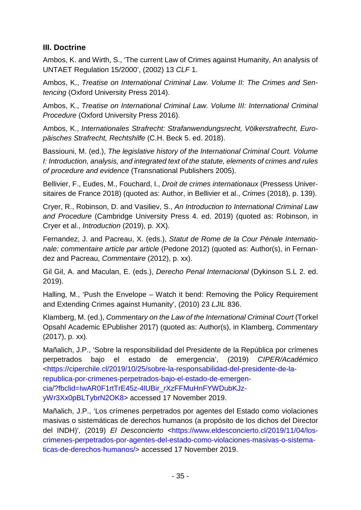# <span id="page-36-0"></span>**III. Doctrine**

Ambos, K. and Wirth, S., 'The current Law of Crimes against Humanity, An analysis of UNTAET Regulation 15/2000', (2002) 13 *CLF* 1.

Ambos, K., *Treatise on International Criminal Law. Volume II: The Crimes and Sentencing* (Oxford University Press 2014).

Ambos, K., *Treatise on International Criminal Law. Volume III: International Criminal Procedure* (Oxford University Press 2016).

Ambos, K., *Internationales Strafrecht: Strafanwendungsrecht, Völkerstrafrecht, Europäisches Strafrecht, Rechtshilfe* (C.H. Beck 5. ed. 2018).

Bassiouni, M. (ed.), *The legislative history of the International Criminal Court. Volume I: Introduction, analysis, and integrated text of the statute, elements of crimes and rules of procedure and evidence* (Transnational Publishers 2005).

Bellivier, F., Eudes, M., Fouchard, I., *Droit de crimes internationaux* (Pressess Universitaires de France 2018) (quoted as: Author, in Bellivier et al., *Crimes* (2018), p. 139).

Cryer, R., Robinson, D. and Vasiliev, S., *An Introduction to International Criminal Law and Procedure* (Cambridge University Press 4. ed. 2019) (quoted as: Robinson, in Cryer et al., *Introduction* (2019), p. XX).

Fernandez, J. and Pacreau, X. (eds.), *Statut de Rome de la Cour Pénale Internationale: commentaire article par article* (Pedone 2012) (quoted as: Author(s), in Fernandez and Pacreau, *Commentaire* (2012), p. xx).

Gil Gil, A. and Maculan, E. (eds.), *Derecho Penal Internacional* (Dykinson S.L 2. ed. 2019).

Halling, M., 'Push the Envelope – Watch it bend: Removing the Policy Requirement and Extending Crimes against Humanity', (2010) 23 *LJIL* 836.

Klamberg, M. (ed.), *Commentary on the Law of the International Criminal Court* (Torkel Opsahl Academic EPublisher 2017) (quoted as: Author(s), in Klamberg, *Commentary* (2017), p. xx)*.*

Mañalich, J.P., 'Sobre la responsibilidad del Presidente de la República por crímenes perpetrados bajo el estado de emergencia', (2019) *CIPER/Académico* [<https://ciperchile.cl/2019/10/25/sobre-la-responsabilidad-del-presidente-de-la](https://ciperchile.cl/2019/10/25/sobre-la-responsabilidad-del-presidente-de-la-republica-por-crimenes-perpetrados-bajo-el-estado-de-emergencia/?fbclid=IwAR0F1rtTrE45z-4lUBir_rXzFFMuHnFYWDubKJz-yWr3Xx0pBLTybrN2OK8)[republica-por-crimenes-perpetrados-bajo-el-estado-de-emergen](https://ciperchile.cl/2019/10/25/sobre-la-responsabilidad-del-presidente-de-la-republica-por-crimenes-perpetrados-bajo-el-estado-de-emergencia/?fbclid=IwAR0F1rtTrE45z-4lUBir_rXzFFMuHnFYWDubKJz-yWr3Xx0pBLTybrN2OK8)[cia/?fbclid=IwAR0F1rtTrE45z-4lUBir\\_rXzFFMuHnFYWDubKJz](https://ciperchile.cl/2019/10/25/sobre-la-responsabilidad-del-presidente-de-la-republica-por-crimenes-perpetrados-bajo-el-estado-de-emergencia/?fbclid=IwAR0F1rtTrE45z-4lUBir_rXzFFMuHnFYWDubKJz-yWr3Xx0pBLTybrN2OK8)[yWr3Xx0pBLTybrN2OK8>](https://ciperchile.cl/2019/10/25/sobre-la-responsabilidad-del-presidente-de-la-republica-por-crimenes-perpetrados-bajo-el-estado-de-emergencia/?fbclid=IwAR0F1rtTrE45z-4lUBir_rXzFFMuHnFYWDubKJz-yWr3Xx0pBLTybrN2OK8) accessed 17 November 2019.

Mañalich, J.P., 'Los crímenes perpetrados por agentes del Estado como violaciones masivas o sistemáticas de derechos humanos (a propósito de los dichos del Director del INDH)', (2019) *El Desconcierto* [<https://www.eldesconcierto.cl/2019/11/04/los](https://www.eldesconcierto.cl/2019/11/04/los-crimenes-perpetrados-por-agentes-del-estado-como-violaciones-masivas-o-sistematicas-de-derechos-humanos/)[crimenes-perpetrados-por-agentes-del-estado-como-violaciones-masivas-o-sistema](https://www.eldesconcierto.cl/2019/11/04/los-crimenes-perpetrados-por-agentes-del-estado-como-violaciones-masivas-o-sistematicas-de-derechos-humanos/)[ticas-de-derechos-humanos/>](https://www.eldesconcierto.cl/2019/11/04/los-crimenes-perpetrados-por-agentes-del-estado-como-violaciones-masivas-o-sistematicas-de-derechos-humanos/) accessed 17 November 2019.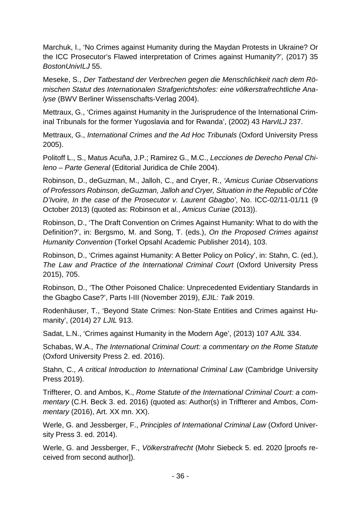Marchuk, I., 'No Crimes against Humanity during the Maydan Protests in Ukraine? Or the ICC Prosecutor's Flawed interpretation of Crimes against Humanity?'*,* (2017) 35 *BostonUnivILJ* 55.

Meseke, S., *Der Tatbestand der Verbrechen gegen die Menschlichkeit nach dem Römischen Statut des Internationalen Strafgerichtshofes: eine völkerstrafrechtliche Analyse* (BWV Berliner Wissenschafts-Verlag 2004).

Mettraux, G., 'Crimes against Humanity in the Jurisprudence of the International Criminal Tribunals for the former Yugoslavia and for Rwanda', (2002) 43 *HarvILJ* 237.

Mettraux, G., *International Crimes and the Ad Hoc Tribunals* (Oxford University Press 2005).

Politoff L., S., Matus Acuña, J.P.; Ramirez G., M.C., *Lecciones de Derecho Penal Chileno* – *Parte General* (Editorial Juridica de Chile 2004).

Robinson, D., deGuzman, M., Jalloh, C., and Cryer, R., *'Amicus Curiae Observations of Professors Robinson, deGuzman, Jalloh and Cryer, Situation in the Republic of Côte D'Ivoire, In the case of the Prosecutor v. Laurent Gbagbo'*, No. ICC-02/11-01/11 (9 October 2013) (quoted as: Robinson et al., *Amicus Curiae* (2013)).

Robinson, D., 'The Draft Convention on Crimes Against Humanity: What to do with the Definition?', in: Bergsmo, M. and Song, T. (eds.), *On the Proposed Crimes against Humanity Convention* (Torkel Opsahl Academic Publisher 2014), 103.

Robinson, D., 'Crimes against Humanity: A Better Policy on Policy', in: Stahn, C. (ed.), *The Law and Practice of the International Criminal Court* (Oxford University Press 2015), 705.

Robinson, D., 'The Other Poisoned Chalice: Unprecedented Evidentiary Standards in the Gbagbo Case?', Parts I-III (November 2019), *EJIL: Talk* 2019.

Rodenhäuser, T., 'Beyond State Crimes: Non-State Entities and Crimes against Humanity', (2014) 27 *LJIL* 913.

Sadat, L.N., 'Crimes against Humanity in the Modern Age', (2013) 107 *AJIL* 334.

Schabas, W.A., *The International Criminal Court: a commentary on the Rome Statute* (Oxford University Press 2. ed. 2016).

Stahn, C., *A critical Introduction to International Criminal Law* (Cambridge University Press 2019).

Triffterer, O. and Ambos, K., *Rome Statute of the International Criminal Court: a commentary* (C.H. Beck 3. ed. 2016) (quoted as: Author(s) in Triffterer and Ambos, *Commentary* (2016), Art. XX mn. XX).

Werle, G. and Jessberger, F., *Principles of International Criminal Law* (Oxford University Press 3. ed. 2014).

Werle, G. and Jessberger, F., *Völkerstrafrecht* (Mohr Siebeck 5. ed. 2020 [proofs received from second author]).